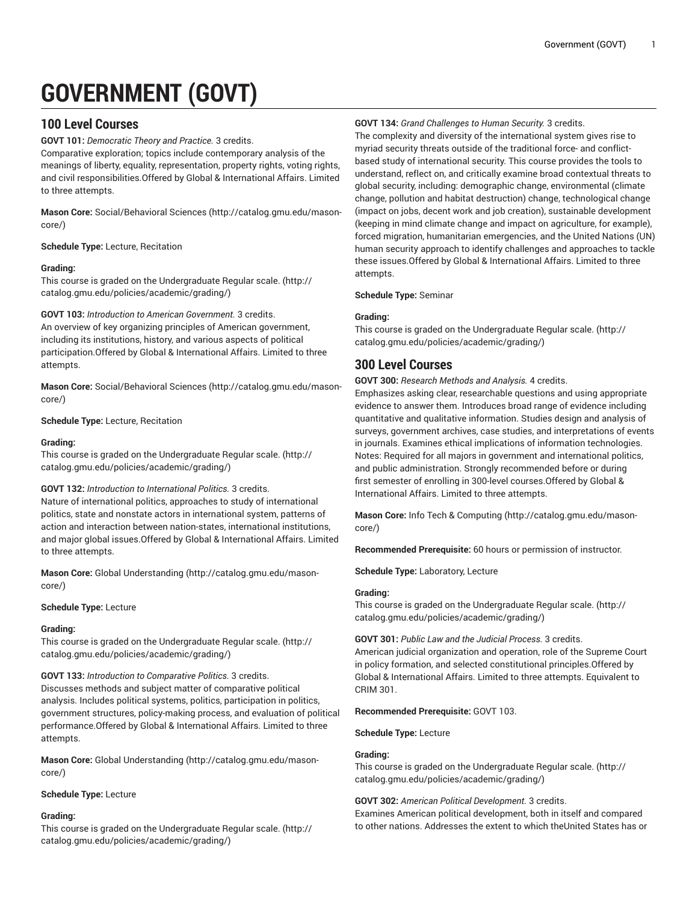# **GOVERNMENT (GOVT)**

# **100 Level Courses**

**GOVT 101:** *Democratic Theory and Practice.* 3 credits.

Comparative exploration; topics include contemporary analysis of the meanings of liberty, equality, representation, property rights, voting rights, and civil responsibilities.Offered by Global & International Affairs. Limited to three attempts.

**Mason Core:** [Social/Behavioral](http://catalog.gmu.edu/mason-core/) Sciences ([http://catalog.gmu.edu/mason](http://catalog.gmu.edu/mason-core/)[core/\)](http://catalog.gmu.edu/mason-core/)

**Schedule Type:** Lecture, Recitation

# **Grading:**

This course is graded on the [Undergraduate](http://catalog.gmu.edu/policies/academic/grading/) Regular scale. ([http://](http://catalog.gmu.edu/policies/academic/grading/) [catalog.gmu.edu/policies/academic/grading/\)](http://catalog.gmu.edu/policies/academic/grading/)

**GOVT 103:** *Introduction to American Government.* 3 credits.

An overview of key organizing principles of American government, including its institutions, history, and various aspects of political participation.Offered by Global & International Affairs. Limited to three attempts.

**Mason Core:** [Social/Behavioral](http://catalog.gmu.edu/mason-core/) Sciences ([http://catalog.gmu.edu/mason](http://catalog.gmu.edu/mason-core/)[core/\)](http://catalog.gmu.edu/mason-core/)

**Schedule Type:** Lecture, Recitation

# **Grading:**

This course is graded on the [Undergraduate](http://catalog.gmu.edu/policies/academic/grading/) Regular scale. ([http://](http://catalog.gmu.edu/policies/academic/grading/) [catalog.gmu.edu/policies/academic/grading/\)](http://catalog.gmu.edu/policies/academic/grading/)

# **GOVT 132:** *Introduction to International Politics.* 3 credits.

Nature of international politics, approaches to study of international politics, state and nonstate actors in international system, patterns of action and interaction between nation-states, international institutions, and major global issues.Offered by Global & International Affairs. Limited to three attempts.

**Mason Core:** [Global Understanding](http://catalog.gmu.edu/mason-core/) ([http://catalog.gmu.edu/mason](http://catalog.gmu.edu/mason-core/)[core/\)](http://catalog.gmu.edu/mason-core/)

# **Schedule Type:** Lecture

# **Grading:**

This course is graded on the [Undergraduate](http://catalog.gmu.edu/policies/academic/grading/) Regular scale. ([http://](http://catalog.gmu.edu/policies/academic/grading/) [catalog.gmu.edu/policies/academic/grading/\)](http://catalog.gmu.edu/policies/academic/grading/)

# **GOVT 133:** *Introduction to Comparative Politics.* 3 credits.

Discusses methods and subject matter of comparative political analysis. Includes political systems, politics, participation in politics, government structures, policy-making process, and evaluation of political performance.Offered by Global & International Affairs. Limited to three attempts.

**Mason Core:** [Global Understanding](http://catalog.gmu.edu/mason-core/) ([http://catalog.gmu.edu/mason](http://catalog.gmu.edu/mason-core/)[core/\)](http://catalog.gmu.edu/mason-core/)

# **Schedule Type:** Lecture

# **Grading:**

This course is graded on the [Undergraduate](http://catalog.gmu.edu/policies/academic/grading/) Regular scale. ([http://](http://catalog.gmu.edu/policies/academic/grading/) [catalog.gmu.edu/policies/academic/grading/\)](http://catalog.gmu.edu/policies/academic/grading/)

# **GOVT 134:** *Grand Challenges to Human Security.* 3 credits.

The complexity and diversity of the international system gives rise to myriad security threats outside of the traditional force- and conflictbased study of international security. This course provides the tools to understand, reflect on, and critically examine broad contextual threats to global security, including: demographic change, environmental (climate change, pollution and habitat destruction) change, technological change (impact on jobs, decent work and job creation), sustainable development (keeping in mind climate change and impact on agriculture, for example), forced migration, humanitarian emergencies, and the United Nations (UN) human security approach to identify challenges and approaches to tackle these issues.Offered by Global & International Affairs. Limited to three attempts.

# **Schedule Type:** Seminar

# **Grading:**

This course is graded on the [Undergraduate](http://catalog.gmu.edu/policies/academic/grading/) Regular scale. ([http://](http://catalog.gmu.edu/policies/academic/grading/) [catalog.gmu.edu/policies/academic/grading/](http://catalog.gmu.edu/policies/academic/grading/))

# **300 Level Courses**

**GOVT 300:** *Research Methods and Analysis.* 4 credits.

Emphasizes asking clear, researchable questions and using appropriate evidence to answer them. Introduces broad range of evidence including quantitative and qualitative information. Studies design and analysis of surveys, government archives, case studies, and interpretations of events in journals. Examines ethical implications of information technologies. Notes: Required for all majors in government and international politics, and public administration. Strongly recommended before or during first semester of enrolling in 300-level courses.Offered by Global & International Affairs. Limited to three attempts.

**Mason Core:** Info Tech & [Computing \(http://catalog.gmu.edu/mason](http://catalog.gmu.edu/mason-core/)[core/](http://catalog.gmu.edu/mason-core/))

**Recommended Prerequisite:** 60 hours or permission of instructor.

**Schedule Type:** Laboratory, Lecture

# **Grading:**

This course is graded on the [Undergraduate](http://catalog.gmu.edu/policies/academic/grading/) Regular scale. ([http://](http://catalog.gmu.edu/policies/academic/grading/) [catalog.gmu.edu/policies/academic/grading/](http://catalog.gmu.edu/policies/academic/grading/))

**GOVT 301:** *Public Law and the Judicial Process.* 3 credits. American judicial organization and operation, role of the Supreme Court in policy formation, and selected constitutional principles.Offered by Global & International Affairs. Limited to three attempts. Equivalent to CRIM 301.

# **Recommended Prerequisite:** GOVT 103.

# **Schedule Type:** Lecture

# **Grading:**

This course is graded on the [Undergraduate](http://catalog.gmu.edu/policies/academic/grading/) Regular scale. ([http://](http://catalog.gmu.edu/policies/academic/grading/) [catalog.gmu.edu/policies/academic/grading/](http://catalog.gmu.edu/policies/academic/grading/))

# **GOVT 302:** *American Political Development.* 3 credits.

Examines American political development, both in itself and compared to other nations. Addresses the extent to which theUnited States has or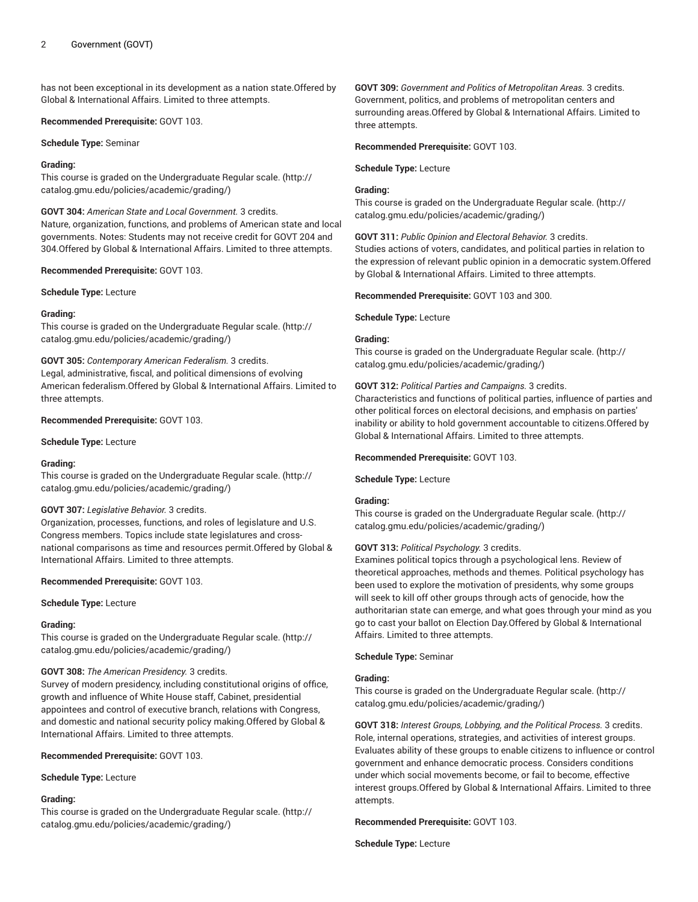has not been exceptional in its development as a nation state.Offered by Global & International Affairs. Limited to three attempts.

# **Recommended Prerequisite:** GOVT 103.

**Schedule Type:** Seminar

# **Grading:**

This course is graded on the [Undergraduate](http://catalog.gmu.edu/policies/academic/grading/) Regular scale. ([http://](http://catalog.gmu.edu/policies/academic/grading/) [catalog.gmu.edu/policies/academic/grading/\)](http://catalog.gmu.edu/policies/academic/grading/)

# **GOVT 304:** *American State and Local Government.* 3 credits.

Nature, organization, functions, and problems of American state and local governments. Notes: Students may not receive credit for GOVT 204 and 304.Offered by Global & International Affairs. Limited to three attempts.

# **Recommended Prerequisite:** GOVT 103.

**Schedule Type:** Lecture

# **Grading:**

This course is graded on the [Undergraduate](http://catalog.gmu.edu/policies/academic/grading/) Regular scale. ([http://](http://catalog.gmu.edu/policies/academic/grading/) [catalog.gmu.edu/policies/academic/grading/\)](http://catalog.gmu.edu/policies/academic/grading/)

# **GOVT 305:** *Contemporary American Federalism.* 3 credits.

Legal, administrative, fiscal, and political dimensions of evolving American federalism.Offered by Global & International Affairs. Limited to three attempts.

# **Recommended Prerequisite:** GOVT 103.

**Schedule Type:** Lecture

# **Grading:**

This course is graded on the [Undergraduate](http://catalog.gmu.edu/policies/academic/grading/) Regular scale. ([http://](http://catalog.gmu.edu/policies/academic/grading/) [catalog.gmu.edu/policies/academic/grading/\)](http://catalog.gmu.edu/policies/academic/grading/)

# **GOVT 307:** *Legislative Behavior.* 3 credits.

Organization, processes, functions, and roles of legislature and U.S. Congress members. Topics include state legislatures and crossnational comparisons as time and resources permit.Offered by Global & International Affairs. Limited to three attempts.

**Recommended Prerequisite:** GOVT 103.

**Schedule Type:** Lecture

# **Grading:**

This course is graded on the [Undergraduate](http://catalog.gmu.edu/policies/academic/grading/) Regular scale. ([http://](http://catalog.gmu.edu/policies/academic/grading/) [catalog.gmu.edu/policies/academic/grading/\)](http://catalog.gmu.edu/policies/academic/grading/)

# **GOVT 308:** *The American Presidency.* 3 credits.

Survey of modern presidency, including constitutional origins of office, growth and influence of White House staff, Cabinet, presidential appointees and control of executive branch, relations with Congress, and domestic and national security policy making.Offered by Global & International Affairs. Limited to three attempts.

# **Recommended Prerequisite:** GOVT 103.

**Schedule Type:** Lecture

# **Grading:**

This course is graded on the [Undergraduate](http://catalog.gmu.edu/policies/academic/grading/) Regular scale. ([http://](http://catalog.gmu.edu/policies/academic/grading/) [catalog.gmu.edu/policies/academic/grading/\)](http://catalog.gmu.edu/policies/academic/grading/)

**GOVT 309:** *Government and Politics of Metropolitan Areas.* 3 credits. Government, politics, and problems of metropolitan centers and surrounding areas.Offered by Global & International Affairs. Limited to three attempts.

# **Recommended Prerequisite:** GOVT 103.

**Schedule Type:** Lecture

# **Grading:**

This course is graded on the [Undergraduate](http://catalog.gmu.edu/policies/academic/grading/) Regular scale. ([http://](http://catalog.gmu.edu/policies/academic/grading/) [catalog.gmu.edu/policies/academic/grading/](http://catalog.gmu.edu/policies/academic/grading/))

# **GOVT 311:** *Public Opinion and Electoral Behavior.* 3 credits.

Studies actions of voters, candidates, and political parties in relation to the expression of relevant public opinion in a democratic system.Offered by Global & International Affairs. Limited to three attempts.

# **Recommended Prerequisite:** GOVT 103 and 300.

**Schedule Type:** Lecture

# **Grading:**

This course is graded on the [Undergraduate](http://catalog.gmu.edu/policies/academic/grading/) Regular scale. ([http://](http://catalog.gmu.edu/policies/academic/grading/) [catalog.gmu.edu/policies/academic/grading/](http://catalog.gmu.edu/policies/academic/grading/))

# **GOVT 312:** *Political Parties and Campaigns.* 3 credits.

Characteristics and functions of political parties, influence of parties and other political forces on electoral decisions, and emphasis on parties' inability or ability to hold government accountable to citizens.Offered by Global & International Affairs. Limited to three attempts.

#### **Recommended Prerequisite:** GOVT 103.

**Schedule Type:** Lecture

# **Grading:**

This course is graded on the [Undergraduate](http://catalog.gmu.edu/policies/academic/grading/) Regular scale. ([http://](http://catalog.gmu.edu/policies/academic/grading/) [catalog.gmu.edu/policies/academic/grading/](http://catalog.gmu.edu/policies/academic/grading/))

# **GOVT 313:** *Political Psychology.* 3 credits.

Examines political topics through a psychological lens. Review of theoretical approaches, methods and themes. Political psychology has been used to explore the motivation of presidents, why some groups will seek to kill off other groups through acts of genocide, how the authoritarian state can emerge, and what goes through your mind as you go to cast your ballot on Election Day.Offered by Global & International Affairs. Limited to three attempts.

**Schedule Type:** Seminar

# **Grading:**

This course is graded on the [Undergraduate](http://catalog.gmu.edu/policies/academic/grading/) Regular scale. ([http://](http://catalog.gmu.edu/policies/academic/grading/) [catalog.gmu.edu/policies/academic/grading/](http://catalog.gmu.edu/policies/academic/grading/))

**GOVT 318:** *Interest Groups, Lobbying, and the Political Process.* 3 credits. Role, internal operations, strategies, and activities of interest groups. Evaluates ability of these groups to enable citizens to influence or control government and enhance democratic process. Considers conditions under which social movements become, or fail to become, effective interest groups.Offered by Global & International Affairs. Limited to three attempts.

# **Recommended Prerequisite:** GOVT 103.

**Schedule Type:** Lecture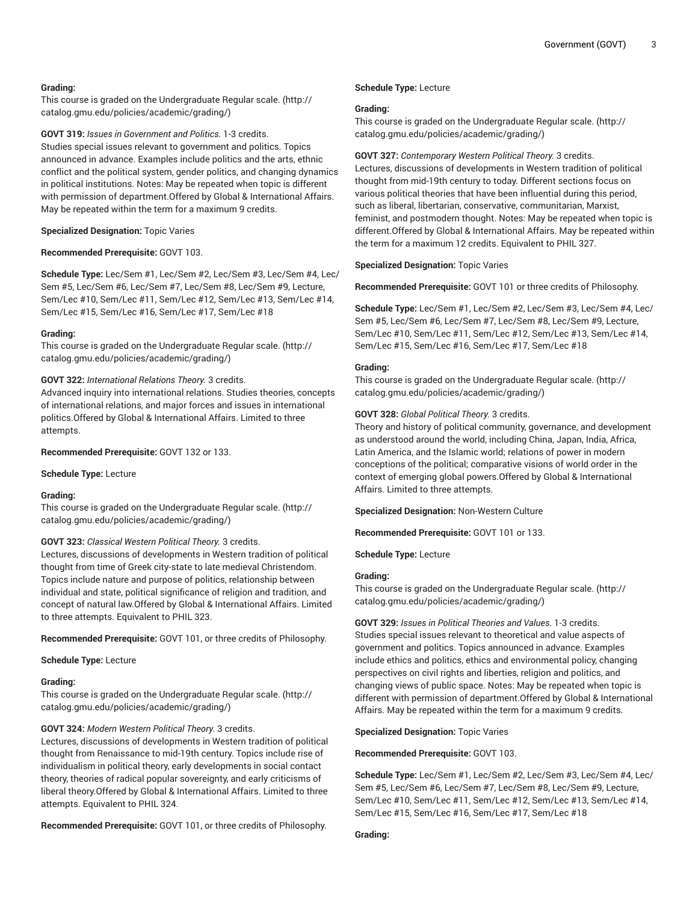# **Grading:**

This course is graded on the [Undergraduate](http://catalog.gmu.edu/policies/academic/grading/) Regular scale. ([http://](http://catalog.gmu.edu/policies/academic/grading/) [catalog.gmu.edu/policies/academic/grading/\)](http://catalog.gmu.edu/policies/academic/grading/)

**GOVT 319:** *Issues in Government and Politics.* 1-3 credits. Studies special issues relevant to government and politics. Topics announced in advance. Examples include politics and the arts, ethnic conflict and the political system, gender politics, and changing dynamics in political institutions. Notes: May be repeated when topic is different with permission of department.Offered by Global & International Affairs. May be repeated within the term for a maximum 9 credits.

**Specialized Designation:** Topic Varies

#### **Recommended Prerequisite:** GOVT 103.

**Schedule Type:** Lec/Sem #1, Lec/Sem #2, Lec/Sem #3, Lec/Sem #4, Lec/ Sem #5, Lec/Sem #6, Lec/Sem #7, Lec/Sem #8, Lec/Sem #9, Lecture, Sem/Lec #10, Sem/Lec #11, Sem/Lec #12, Sem/Lec #13, Sem/Lec #14, Sem/Lec #15, Sem/Lec #16, Sem/Lec #17, Sem/Lec #18

#### **Grading:**

This course is graded on the [Undergraduate](http://catalog.gmu.edu/policies/academic/grading/) Regular scale. ([http://](http://catalog.gmu.edu/policies/academic/grading/) [catalog.gmu.edu/policies/academic/grading/\)](http://catalog.gmu.edu/policies/academic/grading/)

# **GOVT 322:** *International Relations Theory.* 3 credits.

Advanced inquiry into international relations. Studies theories, concepts of international relations, and major forces and issues in international politics.Offered by Global & International Affairs. Limited to three attempts.

**Recommended Prerequisite:** GOVT 132 or 133.

**Schedule Type:** Lecture

#### **Grading:**

This course is graded on the [Undergraduate](http://catalog.gmu.edu/policies/academic/grading/) Regular scale. ([http://](http://catalog.gmu.edu/policies/academic/grading/) [catalog.gmu.edu/policies/academic/grading/\)](http://catalog.gmu.edu/policies/academic/grading/)

# **GOVT 323:** *Classical Western Political Theory.* 3 credits.

Lectures, discussions of developments in Western tradition of political thought from time of Greek city-state to late medieval Christendom. Topics include nature and purpose of politics, relationship between individual and state, political significance of religion and tradition, and concept of natural law.Offered by Global & International Affairs. Limited to three attempts. Equivalent to PHIL 323.

**Recommended Prerequisite:** GOVT 101, or three credits of Philosophy.

**Schedule Type:** Lecture

#### **Grading:**

This course is graded on the [Undergraduate](http://catalog.gmu.edu/policies/academic/grading/) Regular scale. ([http://](http://catalog.gmu.edu/policies/academic/grading/) [catalog.gmu.edu/policies/academic/grading/\)](http://catalog.gmu.edu/policies/academic/grading/)

#### **GOVT 324:** *Modern Western Political Theory.* 3 credits.

Lectures, discussions of developments in Western tradition of political thought from Renaissance to mid-19th century. Topics include rise of individualism in political theory, early developments in social contact theory, theories of radical popular sovereignty, and early criticisms of liberal theory.Offered by Global & International Affairs. Limited to three attempts. Equivalent to PHIL 324.

**Recommended Prerequisite:** GOVT 101, or three credits of Philosophy.

#### **Schedule Type:** Lecture

#### **Grading:**

This course is graded on the [Undergraduate](http://catalog.gmu.edu/policies/academic/grading/) Regular scale. ([http://](http://catalog.gmu.edu/policies/academic/grading/) [catalog.gmu.edu/policies/academic/grading/](http://catalog.gmu.edu/policies/academic/grading/))

#### **GOVT 327:** *Contemporary Western Political Theory.* 3 credits.

Lectures, discussions of developments in Western tradition of political thought from mid-19th century to today. Different sections focus on various political theories that have been influential during this period, such as liberal, libertarian, conservative, communitarian, Marxist, feminist, and postmodern thought. Notes: May be repeated when topic is different.Offered by Global & International Affairs. May be repeated within the term for a maximum 12 credits. Equivalent to PHIL 327.

**Specialized Designation:** Topic Varies

**Recommended Prerequisite:** GOVT 101 or three credits of Philosophy.

**Schedule Type:** Lec/Sem #1, Lec/Sem #2, Lec/Sem #3, Lec/Sem #4, Lec/ Sem #5, Lec/Sem #6, Lec/Sem #7, Lec/Sem #8, Lec/Sem #9, Lecture, Sem/Lec #10, Sem/Lec #11, Sem/Lec #12, Sem/Lec #13, Sem/Lec #14, Sem/Lec #15, Sem/Lec #16, Sem/Lec #17, Sem/Lec #18

## **Grading:**

This course is graded on the [Undergraduate](http://catalog.gmu.edu/policies/academic/grading/) Regular scale. ([http://](http://catalog.gmu.edu/policies/academic/grading/) [catalog.gmu.edu/policies/academic/grading/](http://catalog.gmu.edu/policies/academic/grading/))

**GOVT 328:** *Global Political Theory.* 3 credits.

Theory and history of political community, governance, and development as understood around the world, including China, Japan, India, Africa, Latin America, and the Islamic world; relations of power in modern conceptions of the political; comparative visions of world order in the context of emerging global powers.Offered by Global & International Affairs. Limited to three attempts.

**Specialized Designation:** Non-Western Culture

**Recommended Prerequisite:** GOVT 101 or 133.

**Schedule Type:** Lecture

#### **Grading:**

This course is graded on the [Undergraduate](http://catalog.gmu.edu/policies/academic/grading/) Regular scale. ([http://](http://catalog.gmu.edu/policies/academic/grading/) [catalog.gmu.edu/policies/academic/grading/](http://catalog.gmu.edu/policies/academic/grading/))

**GOVT 329:** *Issues in Political Theories and Values.* 1-3 credits. Studies special issues relevant to theoretical and value aspects of government and politics. Topics announced in advance. Examples include ethics and politics, ethics and environmental policy, changing perspectives on civil rights and liberties, religion and politics, and changing views of public space. Notes: May be repeated when topic is different with permission of department.Offered by Global & International Affairs. May be repeated within the term for a maximum 9 credits.

**Specialized Designation:** Topic Varies

**Recommended Prerequisite:** GOVT 103.

**Schedule Type:** Lec/Sem #1, Lec/Sem #2, Lec/Sem #3, Lec/Sem #4, Lec/ Sem #5, Lec/Sem #6, Lec/Sem #7, Lec/Sem #8, Lec/Sem #9, Lecture, Sem/Lec #10, Sem/Lec #11, Sem/Lec #12, Sem/Lec #13, Sem/Lec #14, Sem/Lec #15, Sem/Lec #16, Sem/Lec #17, Sem/Lec #18

#### **Grading:**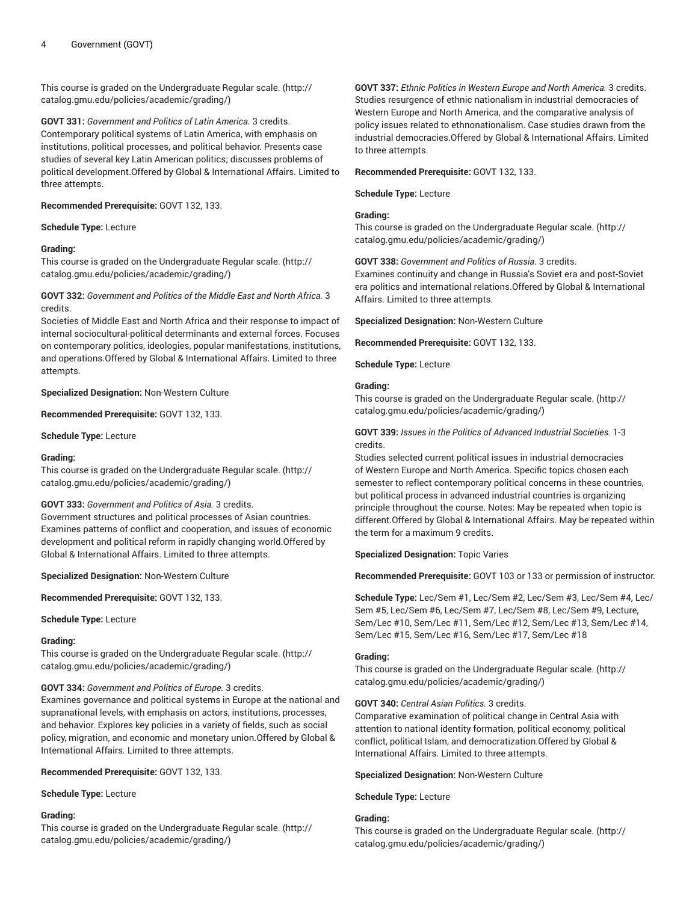This course is graded on the [Undergraduate](http://catalog.gmu.edu/policies/academic/grading/) Regular scale. ([http://](http://catalog.gmu.edu/policies/academic/grading/) [catalog.gmu.edu/policies/academic/grading/\)](http://catalog.gmu.edu/policies/academic/grading/)

**GOVT 331:** *Government and Politics of Latin America.* 3 credits. Contemporary political systems of Latin America, with emphasis on institutions, political processes, and political behavior. Presents case studies of several key Latin American politics; discusses problems of political development.Offered by Global & International Affairs. Limited to three attempts.

**Recommended Prerequisite:** GOVT 132, 133.

#### **Schedule Type:** Lecture

#### **Grading:**

This course is graded on the [Undergraduate](http://catalog.gmu.edu/policies/academic/grading/) Regular scale. ([http://](http://catalog.gmu.edu/policies/academic/grading/) [catalog.gmu.edu/policies/academic/grading/\)](http://catalog.gmu.edu/policies/academic/grading/)

# **GOVT 332:** *Government and Politics of the Middle East and North Africa.* 3 credits.

Societies of Middle East and North Africa and their response to impact of internal sociocultural-political determinants and external forces. Focuses on contemporary politics, ideologies, popular manifestations, institutions, and operations.Offered by Global & International Affairs. Limited to three attempts.

**Specialized Designation:** Non-Western Culture

**Recommended Prerequisite:** GOVT 132, 133.

**Schedule Type:** Lecture

# **Grading:**

This course is graded on the [Undergraduate](http://catalog.gmu.edu/policies/academic/grading/) Regular scale. ([http://](http://catalog.gmu.edu/policies/academic/grading/) [catalog.gmu.edu/policies/academic/grading/\)](http://catalog.gmu.edu/policies/academic/grading/)

# **GOVT 333:** *Government and Politics of Asia.* 3 credits.

Government structures and political processes of Asian countries. Examines patterns of conflict and cooperation, and issues of economic development and political reform in rapidly changing world.Offered by Global & International Affairs. Limited to three attempts.

**Specialized Designation:** Non-Western Culture

**Recommended Prerequisite:** GOVT 132, 133.

**Schedule Type:** Lecture

# **Grading:**

This course is graded on the [Undergraduate](http://catalog.gmu.edu/policies/academic/grading/) Regular scale. ([http://](http://catalog.gmu.edu/policies/academic/grading/) [catalog.gmu.edu/policies/academic/grading/\)](http://catalog.gmu.edu/policies/academic/grading/)

# **GOVT 334:** *Government and Politics of Europe.* 3 credits.

Examines governance and political systems in Europe at the national and supranational levels, with emphasis on actors, institutions, processes, and behavior. Explores key policies in a variety of fields, such as social policy, migration, and economic and monetary union.Offered by Global & International Affairs. Limited to three attempts.

**Recommended Prerequisite:** GOVT 132, 133.

**Schedule Type:** Lecture

#### **Grading:**

This course is graded on the [Undergraduate](http://catalog.gmu.edu/policies/academic/grading/) Regular scale. ([http://](http://catalog.gmu.edu/policies/academic/grading/) [catalog.gmu.edu/policies/academic/grading/\)](http://catalog.gmu.edu/policies/academic/grading/)

**GOVT 337:** *Ethnic Politics in Western Europe and North America.* 3 credits. Studies resurgence of ethnic nationalism in industrial democracies of Western Europe and North America, and the comparative analysis of policy issues related to ethnonationalism. Case studies drawn from the industrial democracies.Offered by Global & International Affairs. Limited to three attempts.

#### **Recommended Prerequisite:** GOVT 132, 133.

**Schedule Type:** Lecture

#### **Grading:**

This course is graded on the [Undergraduate](http://catalog.gmu.edu/policies/academic/grading/) Regular scale. ([http://](http://catalog.gmu.edu/policies/academic/grading/) [catalog.gmu.edu/policies/academic/grading/](http://catalog.gmu.edu/policies/academic/grading/))

**GOVT 338:** *Government and Politics of Russia.* 3 credits.

Examines continuity and change in Russia's Soviet era and post-Soviet era politics and international relations.Offered by Global & International Affairs. Limited to three attempts.

**Specialized Designation:** Non-Western Culture

**Recommended Prerequisite:** GOVT 132, 133.

**Schedule Type:** Lecture

# **Grading:**

This course is graded on the [Undergraduate](http://catalog.gmu.edu/policies/academic/grading/) Regular scale. ([http://](http://catalog.gmu.edu/policies/academic/grading/) [catalog.gmu.edu/policies/academic/grading/](http://catalog.gmu.edu/policies/academic/grading/))

**GOVT 339:** *Issues in the Politics of Advanced Industrial Societies.* 1-3 credits.

Studies selected current political issues in industrial democracies of Western Europe and North America. Specific topics chosen each semester to reflect contemporary political concerns in these countries, but political process in advanced industrial countries is organizing principle throughout the course. Notes: May be repeated when topic is different.Offered by Global & International Affairs. May be repeated within the term for a maximum 9 credits.

# **Specialized Designation:** Topic Varies

**Recommended Prerequisite:** GOVT 103 or 133 or permission of instructor.

**Schedule Type:** Lec/Sem #1, Lec/Sem #2, Lec/Sem #3, Lec/Sem #4, Lec/ Sem #5, Lec/Sem #6, Lec/Sem #7, Lec/Sem #8, Lec/Sem #9, Lecture, Sem/Lec #10, Sem/Lec #11, Sem/Lec #12, Sem/Lec #13, Sem/Lec #14, Sem/Lec #15, Sem/Lec #16, Sem/Lec #17, Sem/Lec #18

# **Grading:**

This course is graded on the [Undergraduate](http://catalog.gmu.edu/policies/academic/grading/) Regular scale. ([http://](http://catalog.gmu.edu/policies/academic/grading/) [catalog.gmu.edu/policies/academic/grading/](http://catalog.gmu.edu/policies/academic/grading/))

#### **GOVT 340:** *Central Asian Politics.* 3 credits.

Comparative examination of political change in Central Asia with attention to national identity formation, political economy, political conflict, political Islam, and democratization.Offered by Global & International Affairs. Limited to three attempts.

**Specialized Designation:** Non-Western Culture

**Schedule Type:** Lecture

# **Grading:**

This course is graded on the [Undergraduate](http://catalog.gmu.edu/policies/academic/grading/) Regular scale. ([http://](http://catalog.gmu.edu/policies/academic/grading/) [catalog.gmu.edu/policies/academic/grading/](http://catalog.gmu.edu/policies/academic/grading/))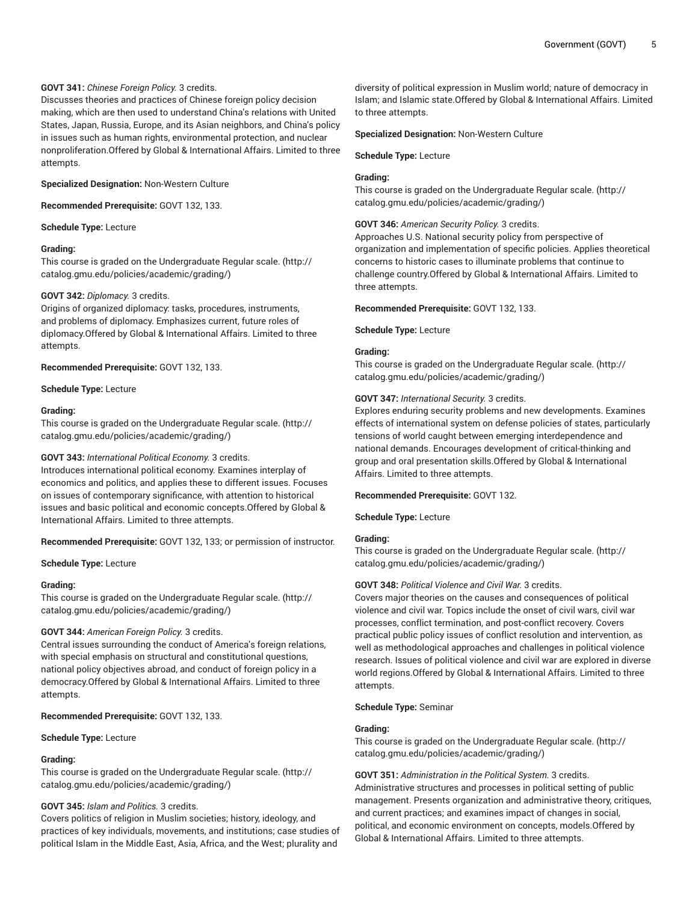# **GOVT 341:** *Chinese Foreign Policy.* 3 credits.

Discusses theories and practices of Chinese foreign policy decision making, which are then used to understand China's relations with United States, Japan, Russia, Europe, and its Asian neighbors, and China's policy in issues such as human rights, environmental protection, and nuclear nonproliferation.Offered by Global & International Affairs. Limited to three attempts.

#### **Specialized Designation:** Non-Western Culture

**Recommended Prerequisite:** GOVT 132, 133.

**Schedule Type:** Lecture

# **Grading:**

This course is graded on the [Undergraduate](http://catalog.gmu.edu/policies/academic/grading/) Regular scale. ([http://](http://catalog.gmu.edu/policies/academic/grading/) [catalog.gmu.edu/policies/academic/grading/\)](http://catalog.gmu.edu/policies/academic/grading/)

#### **GOVT 342:** *Diplomacy.* 3 credits.

Origins of organized diplomacy: tasks, procedures, instruments, and problems of diplomacy. Emphasizes current, future roles of diplomacy.Offered by Global & International Affairs. Limited to three attempts.

**Recommended Prerequisite:** GOVT 132, 133.

**Schedule Type:** Lecture

#### **Grading:**

This course is graded on the [Undergraduate](http://catalog.gmu.edu/policies/academic/grading/) Regular scale. ([http://](http://catalog.gmu.edu/policies/academic/grading/) [catalog.gmu.edu/policies/academic/grading/\)](http://catalog.gmu.edu/policies/academic/grading/)

# **GOVT 343:** *International Political Economy.* 3 credits.

Introduces international political economy. Examines interplay of economics and politics, and applies these to different issues. Focuses on issues of contemporary significance, with attention to historical issues and basic political and economic concepts.Offered by Global & International Affairs. Limited to three attempts.

**Recommended Prerequisite:** GOVT 132, 133; or permission of instructor.

**Schedule Type:** Lecture

#### **Grading:**

This course is graded on the [Undergraduate](http://catalog.gmu.edu/policies/academic/grading/) Regular scale. ([http://](http://catalog.gmu.edu/policies/academic/grading/) [catalog.gmu.edu/policies/academic/grading/\)](http://catalog.gmu.edu/policies/academic/grading/)

# **GOVT 344:** *American Foreign Policy.* 3 credits.

Central issues surrounding the conduct of America's foreign relations, with special emphasis on structural and constitutional questions, national policy objectives abroad, and conduct of foreign policy in a democracy.Offered by Global & International Affairs. Limited to three attempts.

**Recommended Prerequisite:** GOVT 132, 133.

**Schedule Type:** Lecture

# **Grading:**

This course is graded on the [Undergraduate](http://catalog.gmu.edu/policies/academic/grading/) Regular scale. ([http://](http://catalog.gmu.edu/policies/academic/grading/) [catalog.gmu.edu/policies/academic/grading/\)](http://catalog.gmu.edu/policies/academic/grading/)

# **GOVT 345:** *Islam and Politics.* 3 credits.

Covers politics of religion in Muslim societies; history, ideology, and practices of key individuals, movements, and institutions; case studies of political Islam in the Middle East, Asia, Africa, and the West; plurality and

diversity of political expression in Muslim world; nature of democracy in Islam; and Islamic state.Offered by Global & International Affairs. Limited to three attempts.

#### **Specialized Designation:** Non-Western Culture

**Schedule Type:** Lecture

#### **Grading:**

This course is graded on the [Undergraduate](http://catalog.gmu.edu/policies/academic/grading/) Regular scale. ([http://](http://catalog.gmu.edu/policies/academic/grading/) [catalog.gmu.edu/policies/academic/grading/](http://catalog.gmu.edu/policies/academic/grading/))

# **GOVT 346:** *American Security Policy.* 3 credits.

Approaches U.S. National security policy from perspective of organization and implementation of specific policies. Applies theoretical concerns to historic cases to illuminate problems that continue to challenge country.Offered by Global & International Affairs. Limited to three attempts.

#### **Recommended Prerequisite:** GOVT 132, 133.

**Schedule Type:** Lecture

#### **Grading:**

This course is graded on the [Undergraduate](http://catalog.gmu.edu/policies/academic/grading/) Regular scale. ([http://](http://catalog.gmu.edu/policies/academic/grading/) [catalog.gmu.edu/policies/academic/grading/](http://catalog.gmu.edu/policies/academic/grading/))

#### **GOVT 347:** *International Security.* 3 credits.

Explores enduring security problems and new developments. Examines effects of international system on defense policies of states, particularly tensions of world caught between emerging interdependence and national demands. Encourages development of critical-thinking and group and oral presentation skills.Offered by Global & International Affairs. Limited to three attempts.

**Recommended Prerequisite:** GOVT 132.

**Schedule Type:** Lecture

# **Grading:**

This course is graded on the [Undergraduate](http://catalog.gmu.edu/policies/academic/grading/) Regular scale. ([http://](http://catalog.gmu.edu/policies/academic/grading/) [catalog.gmu.edu/policies/academic/grading/](http://catalog.gmu.edu/policies/academic/grading/))

#### **GOVT 348:** *Political Violence and Civil War.* 3 credits.

Covers major theories on the causes and consequences of political violence and civil war. Topics include the onset of civil wars, civil war processes, conflict termination, and post-conflict recovery. Covers practical public policy issues of conflict resolution and intervention, as well as methodological approaches and challenges in political violence research. Issues of political violence and civil war are explored in diverse world regions.Offered by Global & International Affairs. Limited to three attempts.

# **Schedule Type:** Seminar

#### **Grading:**

This course is graded on the [Undergraduate](http://catalog.gmu.edu/policies/academic/grading/) Regular scale. ([http://](http://catalog.gmu.edu/policies/academic/grading/) [catalog.gmu.edu/policies/academic/grading/](http://catalog.gmu.edu/policies/academic/grading/))

**GOVT 351:** *Administration in the Political System.* 3 credits. Administrative structures and processes in political setting of public management. Presents organization and administrative theory, critiques, and current practices; and examines impact of changes in social, political, and economic environment on concepts, models.Offered by Global & International Affairs. Limited to three attempts.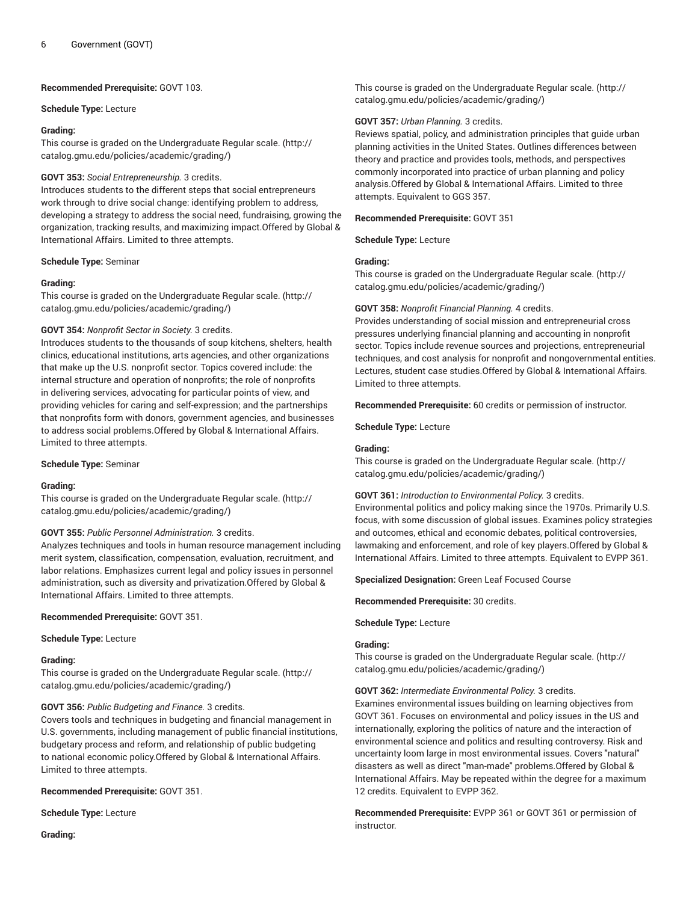# **Recommended Prerequisite:** GOVT 103.

#### **Schedule Type:** Lecture

# **Grading:**

This course is graded on the [Undergraduate](http://catalog.gmu.edu/policies/academic/grading/) Regular scale. ([http://](http://catalog.gmu.edu/policies/academic/grading/) [catalog.gmu.edu/policies/academic/grading/\)](http://catalog.gmu.edu/policies/academic/grading/)

# **GOVT 353:** *Social Entrepreneurship.* 3 credits.

Introduces students to the different steps that social entrepreneurs work through to drive social change: identifying problem to address, developing a strategy to address the social need, fundraising, growing the organization, tracking results, and maximizing impact.Offered by Global & International Affairs. Limited to three attempts.

#### **Schedule Type:** Seminar

#### **Grading:**

This course is graded on the [Undergraduate](http://catalog.gmu.edu/policies/academic/grading/) Regular scale. ([http://](http://catalog.gmu.edu/policies/academic/grading/) [catalog.gmu.edu/policies/academic/grading/\)](http://catalog.gmu.edu/policies/academic/grading/)

#### **GOVT 354:** *Nonprofit Sector in Society.* 3 credits.

Introduces students to the thousands of soup kitchens, shelters, health clinics, educational institutions, arts agencies, and other organizations that make up the U.S. nonprofit sector. Topics covered include: the internal structure and operation of nonprofits; the role of nonprofits in delivering services, advocating for particular points of view, and providing vehicles for caring and self-expression; and the partnerships that nonprofits form with donors, government agencies, and businesses to address social problems.Offered by Global & International Affairs. Limited to three attempts.

#### **Schedule Type:** Seminar

#### **Grading:**

This course is graded on the [Undergraduate](http://catalog.gmu.edu/policies/academic/grading/) Regular scale. ([http://](http://catalog.gmu.edu/policies/academic/grading/) [catalog.gmu.edu/policies/academic/grading/\)](http://catalog.gmu.edu/policies/academic/grading/)

# **GOVT 355:** *Public Personnel Administration.* 3 credits.

Analyzes techniques and tools in human resource management including merit system, classification, compensation, evaluation, recruitment, and labor relations. Emphasizes current legal and policy issues in personnel administration, such as diversity and privatization.Offered by Global & International Affairs. Limited to three attempts.

#### **Recommended Prerequisite:** GOVT 351.

#### **Schedule Type:** Lecture

#### **Grading:**

This course is graded on the [Undergraduate](http://catalog.gmu.edu/policies/academic/grading/) Regular scale. ([http://](http://catalog.gmu.edu/policies/academic/grading/) [catalog.gmu.edu/policies/academic/grading/\)](http://catalog.gmu.edu/policies/academic/grading/)

# **GOVT 356:** *Public Budgeting and Finance.* 3 credits.

Covers tools and techniques in budgeting and financial management in U.S. governments, including management of public financial institutions, budgetary process and reform, and relationship of public budgeting to national economic policy.Offered by Global & International Affairs. Limited to three attempts.

**Recommended Prerequisite:** GOVT 351.

**Schedule Type:** Lecture

**Grading:**

This course is graded on the [Undergraduate](http://catalog.gmu.edu/policies/academic/grading/) Regular scale. ([http://](http://catalog.gmu.edu/policies/academic/grading/) [catalog.gmu.edu/policies/academic/grading/](http://catalog.gmu.edu/policies/academic/grading/))

# **GOVT 357:** *Urban Planning.* 3 credits.

Reviews spatial, policy, and administration principles that guide urban planning activities in the United States. Outlines differences between theory and practice and provides tools, methods, and perspectives commonly incorporated into practice of urban planning and policy analysis.Offered by Global & International Affairs. Limited to three attempts. Equivalent to GGS 357.

#### **Recommended Prerequisite:** GOVT 351

**Schedule Type:** Lecture

# **Grading:**

This course is graded on the [Undergraduate](http://catalog.gmu.edu/policies/academic/grading/) Regular scale. ([http://](http://catalog.gmu.edu/policies/academic/grading/) [catalog.gmu.edu/policies/academic/grading/](http://catalog.gmu.edu/policies/academic/grading/))

#### **GOVT 358:** *Nonprofit Financial Planning.* 4 credits.

Provides understanding of social mission and entrepreneurial cross pressures underlying financial planning and accounting in nonprofit sector. Topics include revenue sources and projections, entrepreneurial techniques, and cost analysis for nonprofit and nongovernmental entities. Lectures, student case studies.Offered by Global & International Affairs. Limited to three attempts.

**Recommended Prerequisite:** 60 credits or permission of instructor.

**Schedule Type:** Lecture

# **Grading:**

This course is graded on the [Undergraduate](http://catalog.gmu.edu/policies/academic/grading/) Regular scale. ([http://](http://catalog.gmu.edu/policies/academic/grading/) [catalog.gmu.edu/policies/academic/grading/](http://catalog.gmu.edu/policies/academic/grading/))

# **GOVT 361:** *Introduction to Environmental Policy.* 3 credits.

Environmental politics and policy making since the 1970s. Primarily U.S. focus, with some discussion of global issues. Examines policy strategies and outcomes, ethical and economic debates, political controversies, lawmaking and enforcement, and role of key players.Offered by Global & International Affairs. Limited to three attempts. Equivalent to EVPP 361.

**Specialized Designation:** Green Leaf Focused Course

**Recommended Prerequisite:** 30 credits.

**Schedule Type:** Lecture

# **Grading:**

This course is graded on the [Undergraduate](http://catalog.gmu.edu/policies/academic/grading/) Regular scale. ([http://](http://catalog.gmu.edu/policies/academic/grading/) [catalog.gmu.edu/policies/academic/grading/](http://catalog.gmu.edu/policies/academic/grading/))

**GOVT 362:** *Intermediate Environmental Policy.* 3 credits.

Examines environmental issues building on learning objectives from GOVT 361. Focuses on environmental and policy issues in the US and internationally, exploring the politics of nature and the interaction of environmental science and politics and resulting controversy. Risk and uncertainty loom large in most environmental issues. Covers "natural" disasters as well as direct "man-made" problems.Offered by Global & International Affairs. May be repeated within the degree for a maximum 12 credits. Equivalent to EVPP 362.

**Recommended Prerequisite:** EVPP 361 or GOVT 361 or permission of instructor.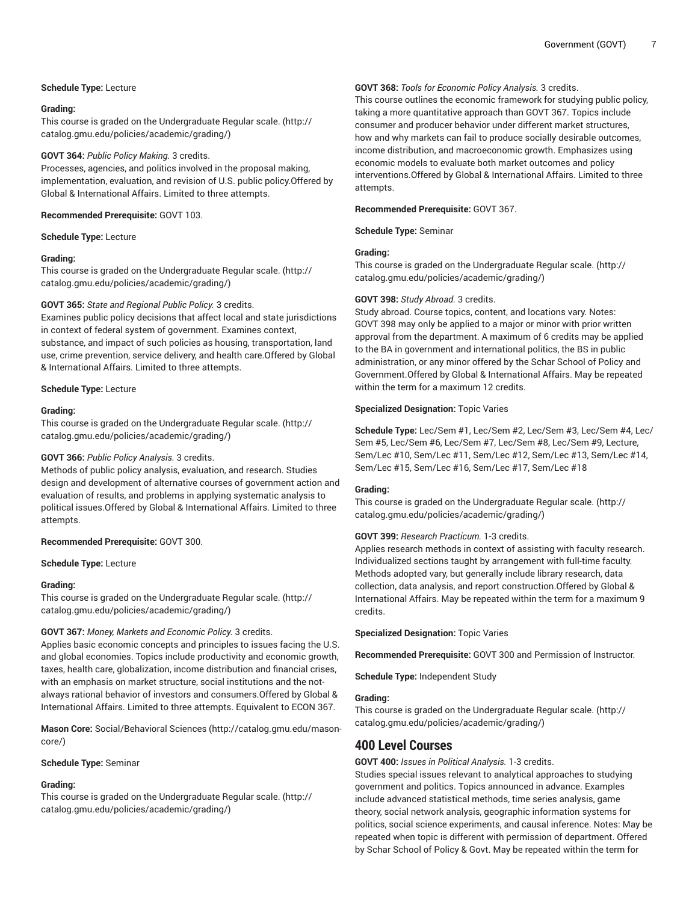# **Schedule Type:** Lecture

# **Grading:**

This course is graded on the [Undergraduate](http://catalog.gmu.edu/policies/academic/grading/) Regular scale. ([http://](http://catalog.gmu.edu/policies/academic/grading/) [catalog.gmu.edu/policies/academic/grading/\)](http://catalog.gmu.edu/policies/academic/grading/)

# **GOVT 364:** *Public Policy Making.* 3 credits.

Processes, agencies, and politics involved in the proposal making, implementation, evaluation, and revision of U.S. public policy.Offered by Global & International Affairs. Limited to three attempts.

#### **Recommended Prerequisite:** GOVT 103.

**Schedule Type:** Lecture

#### **Grading:**

This course is graded on the [Undergraduate](http://catalog.gmu.edu/policies/academic/grading/) Regular scale. ([http://](http://catalog.gmu.edu/policies/academic/grading/) [catalog.gmu.edu/policies/academic/grading/\)](http://catalog.gmu.edu/policies/academic/grading/)

#### **GOVT 365:** *State and Regional Public Policy.* 3 credits.

Examines public policy decisions that affect local and state jurisdictions in context of federal system of government. Examines context, substance, and impact of such policies as housing, transportation, land use, crime prevention, service delivery, and health care.Offered by Global & International Affairs. Limited to three attempts.

#### **Schedule Type:** Lecture

#### **Grading:**

This course is graded on the [Undergraduate](http://catalog.gmu.edu/policies/academic/grading/) Regular scale. ([http://](http://catalog.gmu.edu/policies/academic/grading/) [catalog.gmu.edu/policies/academic/grading/\)](http://catalog.gmu.edu/policies/academic/grading/)

# **GOVT 366:** *Public Policy Analysis.* 3 credits.

Methods of public policy analysis, evaluation, and research. Studies design and development of alternative courses of government action and evaluation of results, and problems in applying systematic analysis to political issues.Offered by Global & International Affairs. Limited to three attempts.

# **Recommended Prerequisite:** GOVT 300.

**Schedule Type:** Lecture

# **Grading:**

This course is graded on the [Undergraduate](http://catalog.gmu.edu/policies/academic/grading/) Regular scale. ([http://](http://catalog.gmu.edu/policies/academic/grading/) [catalog.gmu.edu/policies/academic/grading/\)](http://catalog.gmu.edu/policies/academic/grading/)

# **GOVT 367:** *Money, Markets and Economic Policy.* 3 credits.

Applies basic economic concepts and principles to issues facing the U.S. and global economies. Topics include productivity and economic growth, taxes, health care, globalization, income distribution and financial crises, with an emphasis on market structure, social institutions and the notalways rational behavior of investors and consumers.Offered by Global & International Affairs. Limited to three attempts. Equivalent to ECON 367.

**Mason Core:** [Social/Behavioral](http://catalog.gmu.edu/mason-core/) Sciences ([http://catalog.gmu.edu/mason](http://catalog.gmu.edu/mason-core/)[core/\)](http://catalog.gmu.edu/mason-core/)

# **Schedule Type:** Seminar

# **Grading:**

This course is graded on the [Undergraduate](http://catalog.gmu.edu/policies/academic/grading/) Regular scale. ([http://](http://catalog.gmu.edu/policies/academic/grading/) [catalog.gmu.edu/policies/academic/grading/\)](http://catalog.gmu.edu/policies/academic/grading/)

# **GOVT 368:** *Tools for Economic Policy Analysis.* 3 credits.

This course outlines the economic framework for studying public policy, taking a more quantitative approach than GOVT 367. Topics include consumer and producer behavior under different market structures, how and why markets can fail to produce socially desirable outcomes, income distribution, and macroeconomic growth. Emphasizes using economic models to evaluate both market outcomes and policy interventions.Offered by Global & International Affairs. Limited to three attempts.

#### **Recommended Prerequisite:** GOVT 367.

**Schedule Type:** Seminar

# **Grading:**

This course is graded on the [Undergraduate](http://catalog.gmu.edu/policies/academic/grading/) Regular scale. ([http://](http://catalog.gmu.edu/policies/academic/grading/) [catalog.gmu.edu/policies/academic/grading/](http://catalog.gmu.edu/policies/academic/grading/))

# **GOVT 398:** *Study Abroad.* 3 credits.

Study abroad. Course topics, content, and locations vary. Notes: GOVT 398 may only be applied to a major or minor with prior written approval from the department. A maximum of 6 credits may be applied to the BA in government and international politics, the BS in public administration, or any minor offered by the Schar School of Policy and Government.Offered by Global & International Affairs. May be repeated within the term for a maximum 12 credits.

#### **Specialized Designation:** Topic Varies

**Schedule Type:** Lec/Sem #1, Lec/Sem #2, Lec/Sem #3, Lec/Sem #4, Lec/ Sem #5, Lec/Sem #6, Lec/Sem #7, Lec/Sem #8, Lec/Sem #9, Lecture, Sem/Lec #10, Sem/Lec #11, Sem/Lec #12, Sem/Lec #13, Sem/Lec #14, Sem/Lec #15, Sem/Lec #16, Sem/Lec #17, Sem/Lec #18

#### **Grading:**

This course is graded on the [Undergraduate](http://catalog.gmu.edu/policies/academic/grading/) Regular scale. ([http://](http://catalog.gmu.edu/policies/academic/grading/) [catalog.gmu.edu/policies/academic/grading/](http://catalog.gmu.edu/policies/academic/grading/))

# **GOVT 399:** *Research Practicum.* 1-3 credits.

Applies research methods in context of assisting with faculty research. Individualized sections taught by arrangement with full-time faculty. Methods adopted vary, but generally include library research, data collection, data analysis, and report construction.Offered by Global & International Affairs. May be repeated within the term for a maximum 9 credits.

**Specialized Designation:** Topic Varies

**Recommended Prerequisite:** GOVT 300 and Permission of Instructor.

**Schedule Type:** Independent Study

#### **Grading:**

This course is graded on the [Undergraduate](http://catalog.gmu.edu/policies/academic/grading/) Regular scale. ([http://](http://catalog.gmu.edu/policies/academic/grading/) [catalog.gmu.edu/policies/academic/grading/](http://catalog.gmu.edu/policies/academic/grading/))

# **400 Level Courses**

**GOVT 400:** *Issues in Political Analysis.* 1-3 credits.

Studies special issues relevant to analytical approaches to studying government and politics. Topics announced in advance. Examples include advanced statistical methods, time series analysis, game theory, social network analysis, geographic information systems for politics, social science experiments, and causal inference. Notes: May be repeated when topic is different with permission of department. Offered by Schar School of Policy & Govt. May be repeated within the term for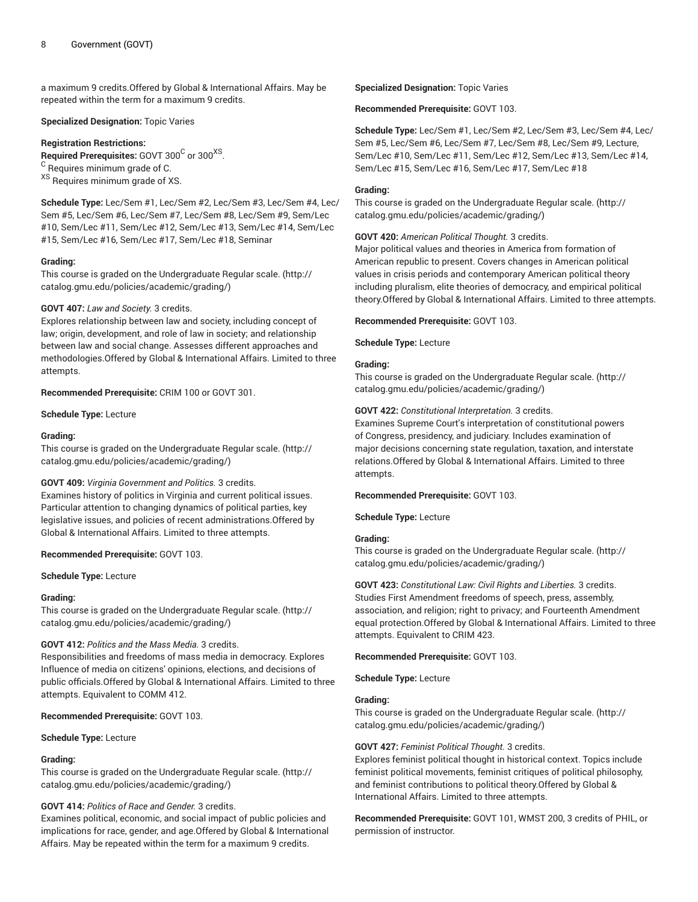a maximum 9 credits.Offered by Global & International Affairs. May be repeated within the term for a maximum 9 credits.

#### **Specialized Designation:** Topic Varies

#### **Registration Restrictions:**

 ${\bf Required~Pre requires:~ GOVT~300}^{\rm C}$  or  $300^{XS}.$  $^{\rm C}$  Requires minimum grade of C. XS Requires minimum grade of XS.

**Schedule Type:** Lec/Sem #1, Lec/Sem #2, Lec/Sem #3, Lec/Sem #4, Lec/ Sem #5, Lec/Sem #6, Lec/Sem #7, Lec/Sem #8, Lec/Sem #9, Sem/Lec #10, Sem/Lec #11, Sem/Lec #12, Sem/Lec #13, Sem/Lec #14, Sem/Lec #15, Sem/Lec #16, Sem/Lec #17, Sem/Lec #18, Seminar

# **Grading:**

This course is graded on the [Undergraduate](http://catalog.gmu.edu/policies/academic/grading/) Regular scale. ([http://](http://catalog.gmu.edu/policies/academic/grading/) [catalog.gmu.edu/policies/academic/grading/\)](http://catalog.gmu.edu/policies/academic/grading/)

#### **GOVT 407:** *Law and Society.* 3 credits.

Explores relationship between law and society, including concept of law; origin, development, and role of law in society; and relationship between law and social change. Assesses different approaches and methodologies.Offered by Global & International Affairs. Limited to three attempts.

**Recommended Prerequisite:** CRIM 100 or GOVT 301.

**Schedule Type:** Lecture

#### **Grading:**

This course is graded on the [Undergraduate](http://catalog.gmu.edu/policies/academic/grading/) Regular scale. ([http://](http://catalog.gmu.edu/policies/academic/grading/) [catalog.gmu.edu/policies/academic/grading/\)](http://catalog.gmu.edu/policies/academic/grading/)

# **GOVT 409:** *Virginia Government and Politics.* 3 credits.

Examines history of politics in Virginia and current political issues. Particular attention to changing dynamics of political parties, key legislative issues, and policies of recent administrations.Offered by Global & International Affairs. Limited to three attempts.

#### **Recommended Prerequisite:** GOVT 103.

**Schedule Type:** Lecture

#### **Grading:**

This course is graded on the [Undergraduate](http://catalog.gmu.edu/policies/academic/grading/) Regular scale. ([http://](http://catalog.gmu.edu/policies/academic/grading/) [catalog.gmu.edu/policies/academic/grading/\)](http://catalog.gmu.edu/policies/academic/grading/)

# **GOVT 412:** *Politics and the Mass Media.* 3 credits.

Responsibilities and freedoms of mass media in democracy. Explores Influence of media on citizens' opinions, elections, and decisions of public officials.Offered by Global & International Affairs. Limited to three attempts. Equivalent to COMM 412.

**Recommended Prerequisite:** GOVT 103.

**Schedule Type:** Lecture

# **Grading:**

This course is graded on the [Undergraduate](http://catalog.gmu.edu/policies/academic/grading/) Regular scale. ([http://](http://catalog.gmu.edu/policies/academic/grading/) [catalog.gmu.edu/policies/academic/grading/\)](http://catalog.gmu.edu/policies/academic/grading/)

# **GOVT 414:** *Politics of Race and Gender.* 3 credits.

Examines political, economic, and social impact of public policies and implications for race, gender, and age.Offered by Global & International Affairs. May be repeated within the term for a maximum 9 credits.

**Specialized Designation:** Topic Varies

### **Recommended Prerequisite:** GOVT 103.

**Schedule Type:** Lec/Sem #1, Lec/Sem #2, Lec/Sem #3, Lec/Sem #4, Lec/ Sem #5, Lec/Sem #6, Lec/Sem #7, Lec/Sem #8, Lec/Sem #9, Lecture, Sem/Lec #10, Sem/Lec #11, Sem/Lec #12, Sem/Lec #13, Sem/Lec #14, Sem/Lec #15, Sem/Lec #16, Sem/Lec #17, Sem/Lec #18

#### **Grading:**

This course is graded on the [Undergraduate](http://catalog.gmu.edu/policies/academic/grading/) Regular scale. ([http://](http://catalog.gmu.edu/policies/academic/grading/) [catalog.gmu.edu/policies/academic/grading/](http://catalog.gmu.edu/policies/academic/grading/))

**GOVT 420:** *American Political Thought.* 3 credits.

Major political values and theories in America from formation of American republic to present. Covers changes in American political values in crisis periods and contemporary American political theory including pluralism, elite theories of democracy, and empirical political theory.Offered by Global & International Affairs. Limited to three attempts.

**Recommended Prerequisite:** GOVT 103.

**Schedule Type:** Lecture

# **Grading:**

This course is graded on the [Undergraduate](http://catalog.gmu.edu/policies/academic/grading/) Regular scale. ([http://](http://catalog.gmu.edu/policies/academic/grading/) [catalog.gmu.edu/policies/academic/grading/](http://catalog.gmu.edu/policies/academic/grading/))

#### **GOVT 422:** *Constitutional Interpretation.* 3 credits.

Examines Supreme Court's interpretation of constitutional powers of Congress, presidency, and judiciary. Includes examination of major decisions concerning state regulation, taxation, and interstate relations.Offered by Global & International Affairs. Limited to three attempts.

#### **Recommended Prerequisite:** GOVT 103.

**Schedule Type:** Lecture

# **Grading:**

This course is graded on the [Undergraduate](http://catalog.gmu.edu/policies/academic/grading/) Regular scale. ([http://](http://catalog.gmu.edu/policies/academic/grading/) [catalog.gmu.edu/policies/academic/grading/](http://catalog.gmu.edu/policies/academic/grading/))

**GOVT 423:** *Constitutional Law: Civil Rights and Liberties.* 3 credits. Studies First Amendment freedoms of speech, press, assembly, association, and religion; right to privacy; and Fourteenth Amendment equal protection.Offered by Global & International Affairs. Limited to three attempts. Equivalent to CRIM 423.

**Recommended Prerequisite:** GOVT 103.

**Schedule Type:** Lecture

# **Grading:**

This course is graded on the [Undergraduate](http://catalog.gmu.edu/policies/academic/grading/) Regular scale. ([http://](http://catalog.gmu.edu/policies/academic/grading/) [catalog.gmu.edu/policies/academic/grading/](http://catalog.gmu.edu/policies/academic/grading/))

# **GOVT 427:** *Feminist Political Thought.* 3 credits.

Explores feminist political thought in historical context. Topics include feminist political movements, feminist critiques of political philosophy, and feminist contributions to political theory.Offered by Global & International Affairs. Limited to three attempts.

**Recommended Prerequisite:** GOVT 101, WMST 200, 3 credits of PHIL, or permission of instructor.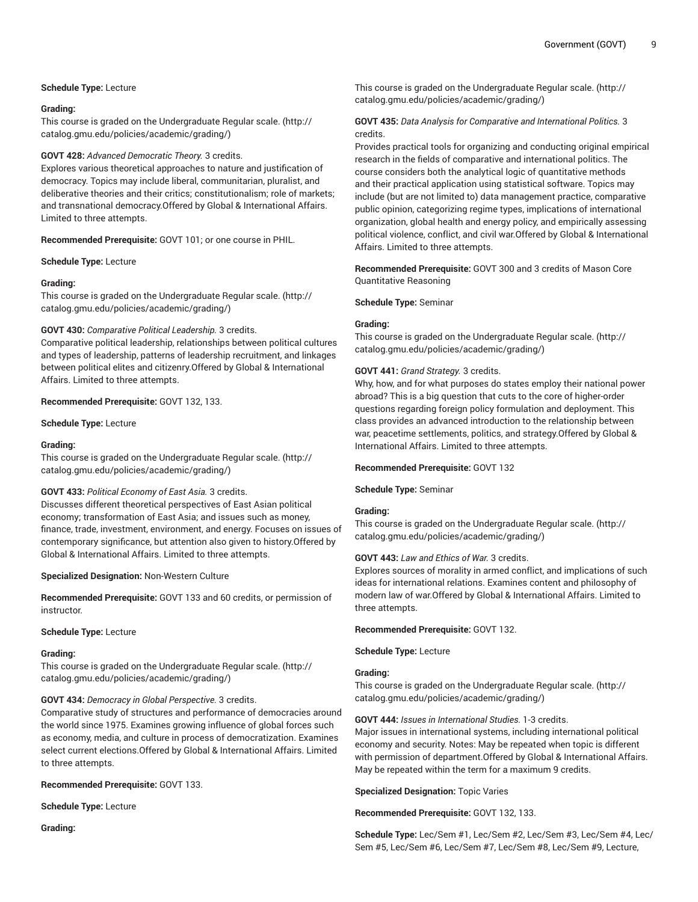# **Schedule Type:** Lecture

# **Grading:**

This course is graded on the [Undergraduate](http://catalog.gmu.edu/policies/academic/grading/) Regular scale. ([http://](http://catalog.gmu.edu/policies/academic/grading/) [catalog.gmu.edu/policies/academic/grading/\)](http://catalog.gmu.edu/policies/academic/grading/)

# **GOVT 428:** *Advanced Democratic Theory.* 3 credits.

Explores various theoretical approaches to nature and justification of democracy. Topics may include liberal, communitarian, pluralist, and deliberative theories and their critics; constitutionalism; role of markets; and transnational democracy.Offered by Global & International Affairs. Limited to three attempts.

**Recommended Prerequisite:** GOVT 101; or one course in PHIL.

#### **Schedule Type:** Lecture

#### **Grading:**

This course is graded on the [Undergraduate](http://catalog.gmu.edu/policies/academic/grading/) Regular scale. ([http://](http://catalog.gmu.edu/policies/academic/grading/) [catalog.gmu.edu/policies/academic/grading/\)](http://catalog.gmu.edu/policies/academic/grading/)

#### **GOVT 430:** *Comparative Political Leadership.* 3 credits.

Comparative political leadership, relationships between political cultures and types of leadership, patterns of leadership recruitment, and linkages between political elites and citizenry.Offered by Global & International Affairs. Limited to three attempts.

#### **Recommended Prerequisite:** GOVT 132, 133.

**Schedule Type:** Lecture

#### **Grading:**

This course is graded on the [Undergraduate](http://catalog.gmu.edu/policies/academic/grading/) Regular scale. ([http://](http://catalog.gmu.edu/policies/academic/grading/) [catalog.gmu.edu/policies/academic/grading/\)](http://catalog.gmu.edu/policies/academic/grading/)

# **GOVT 433:** *Political Economy of East Asia.* 3 credits.

Discusses different theoretical perspectives of East Asian political economy; transformation of East Asia; and issues such as money, finance, trade, investment, environment, and energy. Focuses on issues of contemporary significance, but attention also given to history.Offered by Global & International Affairs. Limited to three attempts.

**Specialized Designation:** Non-Western Culture

**Recommended Prerequisite:** GOVT 133 and 60 credits, or permission of instructor.

#### **Schedule Type:** Lecture

#### **Grading:**

This course is graded on the [Undergraduate](http://catalog.gmu.edu/policies/academic/grading/) Regular scale. ([http://](http://catalog.gmu.edu/policies/academic/grading/) [catalog.gmu.edu/policies/academic/grading/\)](http://catalog.gmu.edu/policies/academic/grading/)

# **GOVT 434:** *Democracy in Global Perspective.* 3 credits.

Comparative study of structures and performance of democracies around the world since 1975. Examines growing influence of global forces such as economy, media, and culture in process of democratization. Examines select current elections.Offered by Global & International Affairs. Limited to three attempts.

#### **Recommended Prerequisite:** GOVT 133.

**Schedule Type:** Lecture

**Grading:**

This course is graded on the [Undergraduate](http://catalog.gmu.edu/policies/academic/grading/) Regular scale. ([http://](http://catalog.gmu.edu/policies/academic/grading/) [catalog.gmu.edu/policies/academic/grading/](http://catalog.gmu.edu/policies/academic/grading/))

# **GOVT 435:** *Data Analysis for Comparative and International Politics.* 3 credits.

Provides practical tools for organizing and conducting original empirical research in the fields of comparative and international politics. The course considers both the analytical logic of quantitative methods and their practical application using statistical software. Topics may include (but are not limited to) data management practice, comparative public opinion, categorizing regime types, implications of international organization, global health and energy policy, and empirically assessing political violence, conflict, and civil war.Offered by Global & International Affairs. Limited to three attempts.

**Recommended Prerequisite:** GOVT 300 and 3 credits of Mason Core Quantitative Reasoning

#### **Schedule Type:** Seminar

# **Grading:**

This course is graded on the [Undergraduate](http://catalog.gmu.edu/policies/academic/grading/) Regular scale. ([http://](http://catalog.gmu.edu/policies/academic/grading/) [catalog.gmu.edu/policies/academic/grading/](http://catalog.gmu.edu/policies/academic/grading/))

#### **GOVT 441:** *Grand Strategy.* 3 credits.

Why, how, and for what purposes do states employ their national power abroad? This is a big question that cuts to the core of higher-order questions regarding foreign policy formulation and deployment. This class provides an advanced introduction to the relationship between war, peacetime settlements, politics, and strategy.Offered by Global & International Affairs. Limited to three attempts.

#### **Recommended Prerequisite:** GOVT 132

**Schedule Type:** Seminar

# **Grading:**

This course is graded on the [Undergraduate](http://catalog.gmu.edu/policies/academic/grading/) Regular scale. ([http://](http://catalog.gmu.edu/policies/academic/grading/) [catalog.gmu.edu/policies/academic/grading/](http://catalog.gmu.edu/policies/academic/grading/))

#### **GOVT 443:** *Law and Ethics of War.* 3 credits.

Explores sources of morality in armed conflict, and implications of such ideas for international relations. Examines content and philosophy of modern law of war.Offered by Global & International Affairs. Limited to three attempts.

#### **Recommended Prerequisite:** GOVT 132.

**Schedule Type:** Lecture

#### **Grading:**

This course is graded on the [Undergraduate](http://catalog.gmu.edu/policies/academic/grading/) Regular scale. ([http://](http://catalog.gmu.edu/policies/academic/grading/) [catalog.gmu.edu/policies/academic/grading/](http://catalog.gmu.edu/policies/academic/grading/))

# **GOVT 444:** *Issues in International Studies.* 1-3 credits.

Major issues in international systems, including international political economy and security. Notes: May be repeated when topic is different with permission of department.Offered by Global & International Affairs. May be repeated within the term for a maximum 9 credits.

**Specialized Designation:** Topic Varies

#### **Recommended Prerequisite:** GOVT 132, 133.

**Schedule Type:** Lec/Sem #1, Lec/Sem #2, Lec/Sem #3, Lec/Sem #4, Lec/ Sem #5, Lec/Sem #6, Lec/Sem #7, Lec/Sem #8, Lec/Sem #9, Lecture,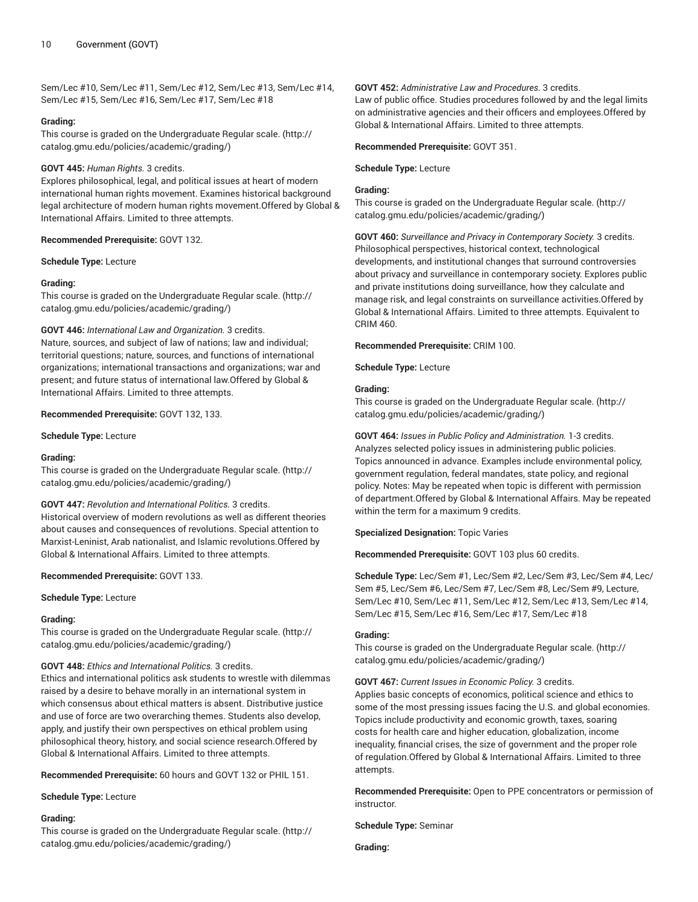Sem/Lec #10, Sem/Lec #11, Sem/Lec #12, Sem/Lec #13, Sem/Lec #14, Sem/Lec #15, Sem/Lec #16, Sem/Lec #17, Sem/Lec #18

#### **Grading:**

This course is graded on the [Undergraduate](http://catalog.gmu.edu/policies/academic/grading/) Regular scale. ([http://](http://catalog.gmu.edu/policies/academic/grading/) [catalog.gmu.edu/policies/academic/grading/\)](http://catalog.gmu.edu/policies/academic/grading/)

# **GOVT 445:** *Human Rights.* 3 credits.

Explores philosophical, legal, and political issues at heart of modern international human rights movement. Examines historical background legal architecture of modern human rights movement.Offered by Global & International Affairs. Limited to three attempts.

#### **Recommended Prerequisite:** GOVT 132.

**Schedule Type:** Lecture

#### **Grading:**

This course is graded on the [Undergraduate](http://catalog.gmu.edu/policies/academic/grading/) Regular scale. ([http://](http://catalog.gmu.edu/policies/academic/grading/) [catalog.gmu.edu/policies/academic/grading/\)](http://catalog.gmu.edu/policies/academic/grading/)

# **GOVT 446:** *International Law and Organization.* 3 credits.

Nature, sources, and subject of law of nations; law and individual; territorial questions; nature, sources, and functions of international organizations; international transactions and organizations; war and present; and future status of international law.Offered by Global & International Affairs. Limited to three attempts.

#### **Recommended Prerequisite:** GOVT 132, 133.

**Schedule Type:** Lecture

# **Grading:**

This course is graded on the [Undergraduate](http://catalog.gmu.edu/policies/academic/grading/) Regular scale. ([http://](http://catalog.gmu.edu/policies/academic/grading/) [catalog.gmu.edu/policies/academic/grading/\)](http://catalog.gmu.edu/policies/academic/grading/)

# **GOVT 447:** *Revolution and International Politics.* 3 credits.

Historical overview of modern revolutions as well as different theories about causes and consequences of revolutions. Special attention to Marxist-Leninist, Arab nationalist, and Islamic revolutions.Offered by Global & International Affairs. Limited to three attempts.

# **Recommended Prerequisite:** GOVT 133.

**Schedule Type:** Lecture

# **Grading:**

This course is graded on the [Undergraduate](http://catalog.gmu.edu/policies/academic/grading/) Regular scale. ([http://](http://catalog.gmu.edu/policies/academic/grading/) [catalog.gmu.edu/policies/academic/grading/\)](http://catalog.gmu.edu/policies/academic/grading/)

#### **GOVT 448:** *Ethics and International Politics.* 3 credits.

Ethics and international politics ask students to wrestle with dilemmas raised by a desire to behave morally in an international system in which consensus about ethical matters is absent. Distributive justice and use of force are two overarching themes. Students also develop, apply, and justify their own perspectives on ethical problem using philosophical theory, history, and social science research.Offered by Global & International Affairs. Limited to three attempts.

**Recommended Prerequisite:** 60 hours and GOVT 132 or PHIL 151.

**Schedule Type:** Lecture

# **Grading:**

This course is graded on the [Undergraduate](http://catalog.gmu.edu/policies/academic/grading/) Regular scale. ([http://](http://catalog.gmu.edu/policies/academic/grading/) [catalog.gmu.edu/policies/academic/grading/\)](http://catalog.gmu.edu/policies/academic/grading/)

# **GOVT 452:** *Administrative Law and Procedures.* 3 credits.

Law of public office. Studies procedures followed by and the legal limits on administrative agencies and their officers and employees.Offered by Global & International Affairs. Limited to three attempts.

# **Recommended Prerequisite:** GOVT 351.

**Schedule Type:** Lecture

# **Grading:**

This course is graded on the [Undergraduate](http://catalog.gmu.edu/policies/academic/grading/) Regular scale. ([http://](http://catalog.gmu.edu/policies/academic/grading/) [catalog.gmu.edu/policies/academic/grading/](http://catalog.gmu.edu/policies/academic/grading/))

**GOVT 460:** *Surveillance and Privacy in Contemporary Society.* 3 credits. Philosophical perspectives, historical context, technological developments, and institutional changes that surround controversies about privacy and surveillance in contemporary society. Explores public and private institutions doing surveillance, how they calculate and manage risk, and legal constraints on surveillance activities.Offered by Global & International Affairs. Limited to three attempts. Equivalent to CRIM 460.

**Recommended Prerequisite:** CRIM 100.

**Schedule Type:** Lecture

# **Grading:**

This course is graded on the [Undergraduate](http://catalog.gmu.edu/policies/academic/grading/) Regular scale. ([http://](http://catalog.gmu.edu/policies/academic/grading/) [catalog.gmu.edu/policies/academic/grading/](http://catalog.gmu.edu/policies/academic/grading/))

**GOVT 464:** *Issues in Public Policy and Administration.* 1-3 credits. Analyzes selected policy issues in administering public policies. Topics announced in advance. Examples include environmental policy, government regulation, federal mandates, state policy, and regional policy. Notes: May be repeated when topic is different with permission of department.Offered by Global & International Affairs. May be repeated within the term for a maximum 9 credits.

**Specialized Designation:** Topic Varies

**Recommended Prerequisite:** GOVT 103 plus 60 credits.

**Schedule Type:** Lec/Sem #1, Lec/Sem #2, Lec/Sem #3, Lec/Sem #4, Lec/ Sem #5, Lec/Sem #6, Lec/Sem #7, Lec/Sem #8, Lec/Sem #9, Lecture, Sem/Lec #10, Sem/Lec #11, Sem/Lec #12, Sem/Lec #13, Sem/Lec #14, Sem/Lec #15, Sem/Lec #16, Sem/Lec #17, Sem/Lec #18

#### **Grading:**

This course is graded on the [Undergraduate](http://catalog.gmu.edu/policies/academic/grading/) Regular scale. ([http://](http://catalog.gmu.edu/policies/academic/grading/) [catalog.gmu.edu/policies/academic/grading/](http://catalog.gmu.edu/policies/academic/grading/))

**GOVT 467:** *Current Issues in Economic Policy.* 3 credits.

Applies basic concepts of economics, political science and ethics to some of the most pressing issues facing the U.S. and global economies. Topics include productivity and economic growth, taxes, soaring costs for health care and higher education, globalization, income inequality, financial crises, the size of government and the proper role of regulation.Offered by Global & International Affairs. Limited to three attempts.

**Recommended Prerequisite:** Open to PPE concentrators or permission of instructor.

**Schedule Type:** Seminar

**Grading:**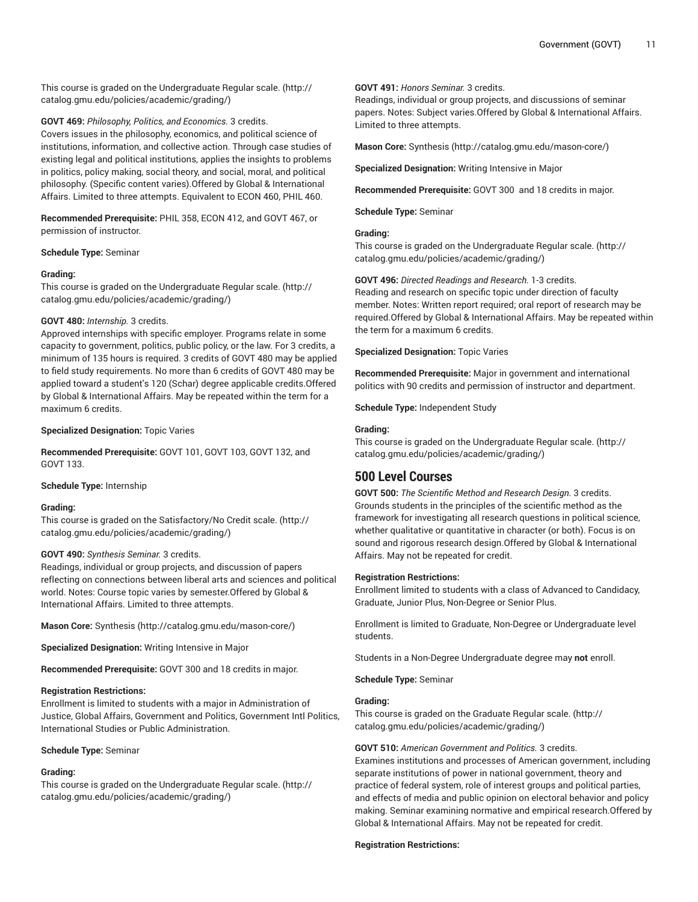This course is graded on the [Undergraduate](http://catalog.gmu.edu/policies/academic/grading/) Regular scale. ([http://](http://catalog.gmu.edu/policies/academic/grading/) [catalog.gmu.edu/policies/academic/grading/\)](http://catalog.gmu.edu/policies/academic/grading/)

**GOVT 469:** *Philosophy, Politics, and Economics.* 3 credits.

Covers issues in the philosophy, economics, and political science of institutions, information, and collective action. Through case studies of existing legal and political institutions, applies the insights to problems in politics, policy making, social theory, and social, moral, and political philosophy. (Specific content varies).Offered by Global & International Affairs. Limited to three attempts. Equivalent to ECON 460, PHIL 460.

**Recommended Prerequisite:** PHIL 358, ECON 412, and GOVT 467, or permission of instructor.

#### **Schedule Type:** Seminar

# **Grading:**

This course is graded on the [Undergraduate](http://catalog.gmu.edu/policies/academic/grading/) Regular scale. ([http://](http://catalog.gmu.edu/policies/academic/grading/) [catalog.gmu.edu/policies/academic/grading/\)](http://catalog.gmu.edu/policies/academic/grading/)

#### **GOVT 480:** *Internship.* 3 credits.

Approved internships with specific employer. Programs relate in some capacity to government, politics, public policy, or the law. For 3 credits, a minimum of 135 hours is required. 3 credits of GOVT 480 may be applied to field study requirements. No more than 6 credits of GOVT 480 may be applied toward a student's 120 (Schar) degree applicable credits.Offered by Global & International Affairs. May be repeated within the term for a maximum 6 credits.

# **Specialized Designation:** Topic Varies

**Recommended Prerequisite:** GOVT 101, GOVT 103, GOVT 132, and GOVT 133.

#### **Schedule Type:** Internship

#### **Grading:**

This course is graded on the [Satisfactory/No](http://catalog.gmu.edu/policies/academic/grading/) Credit scale. ([http://](http://catalog.gmu.edu/policies/academic/grading/) [catalog.gmu.edu/policies/academic/grading/\)](http://catalog.gmu.edu/policies/academic/grading/)

#### **GOVT 490:** *Synthesis Seminar.* 3 credits.

Readings, individual or group projects, and discussion of papers reflecting on connections between liberal arts and sciences and political world. Notes: Course topic varies by semester.Offered by Global & International Affairs. Limited to three attempts.

**Mason Core:** [Synthesis \(http://catalog.gmu.edu/mason-core/](http://catalog.gmu.edu/mason-core/))

**Specialized Designation:** Writing Intensive in Major

**Recommended Prerequisite:** GOVT 300 and 18 credits in major.

#### **Registration Restrictions:**

Enrollment is limited to students with a major in Administration of Justice, Global Affairs, Government and Politics, Government Intl Politics, International Studies or Public Administration.

#### **Schedule Type:** Seminar

# **Grading:**

This course is graded on the [Undergraduate](http://catalog.gmu.edu/policies/academic/grading/) Regular scale. ([http://](http://catalog.gmu.edu/policies/academic/grading/) [catalog.gmu.edu/policies/academic/grading/\)](http://catalog.gmu.edu/policies/academic/grading/)

# **GOVT 491:** *Honors Seminar.* 3 credits.

Readings, individual or group projects, and discussions of seminar papers. Notes: Subject varies.Offered by Global & International Affairs. Limited to three attempts.

**Mason Core:** [Synthesis](http://catalog.gmu.edu/mason-core/) ([http://catalog.gmu.edu/mason-core/\)](http://catalog.gmu.edu/mason-core/)

**Specialized Designation:** Writing Intensive in Major

**Recommended Prerequisite:** GOVT 300 and 18 credits in major.

**Schedule Type:** Seminar

#### **Grading:**

This course is graded on the [Undergraduate](http://catalog.gmu.edu/policies/academic/grading/) Regular scale. ([http://](http://catalog.gmu.edu/policies/academic/grading/) [catalog.gmu.edu/policies/academic/grading/](http://catalog.gmu.edu/policies/academic/grading/))

**GOVT 496:** *Directed Readings and Research.* 1-3 credits. Reading and research on specific topic under direction of faculty member. Notes: Written report required; oral report of research may be required.Offered by Global & International Affairs. May be repeated within the term for a maximum 6 credits.

**Specialized Designation:** Topic Varies

**Recommended Prerequisite:** Major in government and international politics with 90 credits and permission of instructor and department.

**Schedule Type:** Independent Study

#### **Grading:**

This course is graded on the [Undergraduate](http://catalog.gmu.edu/policies/academic/grading/) Regular scale. ([http://](http://catalog.gmu.edu/policies/academic/grading/) [catalog.gmu.edu/policies/academic/grading/](http://catalog.gmu.edu/policies/academic/grading/))

# **500 Level Courses**

**GOVT 500:** *The Scientific Method and Research Design.* 3 credits. Grounds students in the principles of the scientific method as the framework for investigating all research questions in political science, whether qualitative or quantitative in character (or both). Focus is on sound and rigorous research design.Offered by Global & International Affairs. May not be repeated for credit.

#### **Registration Restrictions:**

Enrollment limited to students with a class of Advanced to Candidacy, Graduate, Junior Plus, Non-Degree or Senior Plus.

Enrollment is limited to Graduate, Non-Degree or Undergraduate level students.

Students in a Non-Degree Undergraduate degree may **not** enroll.

**Schedule Type:** Seminar

# **Grading:**

This course is graded on the [Graduate Regular scale.](http://catalog.gmu.edu/policies/academic/grading/) ([http://](http://catalog.gmu.edu/policies/academic/grading/) [catalog.gmu.edu/policies/academic/grading/](http://catalog.gmu.edu/policies/academic/grading/))

#### **GOVT 510:** *American Government and Politics.* 3 credits.

Examines institutions and processes of American government, including separate institutions of power in national government, theory and practice of federal system, role of interest groups and political parties, and effects of media and public opinion on electoral behavior and policy making. Seminar examining normative and empirical research.Offered by Global & International Affairs. May not be repeated for credit.

#### **Registration Restrictions:**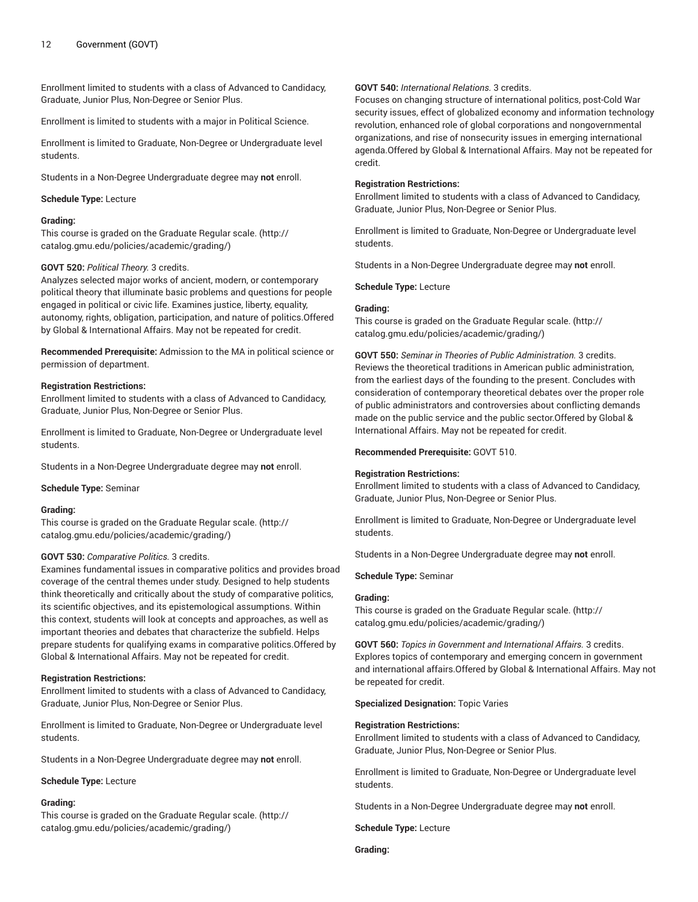# 12 Government (GOVT)

Enrollment limited to students with a class of Advanced to Candidacy, Graduate, Junior Plus, Non-Degree or Senior Plus.

Enrollment is limited to students with a major in Political Science.

Enrollment is limited to Graduate, Non-Degree or Undergraduate level students.

Students in a Non-Degree Undergraduate degree may **not** enroll.

#### **Schedule Type:** Lecture

#### **Grading:**

This course is graded on the [Graduate Regular scale.](http://catalog.gmu.edu/policies/academic/grading/) [\(http://](http://catalog.gmu.edu/policies/academic/grading/) [catalog.gmu.edu/policies/academic/grading/\)](http://catalog.gmu.edu/policies/academic/grading/)

# **GOVT 520:** *Political Theory.* 3 credits.

Analyzes selected major works of ancient, modern, or contemporary political theory that illuminate basic problems and questions for people engaged in political or civic life. Examines justice, liberty, equality, autonomy, rights, obligation, participation, and nature of politics.Offered by Global & International Affairs. May not be repeated for credit.

**Recommended Prerequisite:** Admission to the MA in political science or permission of department.

#### **Registration Restrictions:**

Enrollment limited to students with a class of Advanced to Candidacy, Graduate, Junior Plus, Non-Degree or Senior Plus.

Enrollment is limited to Graduate, Non-Degree or Undergraduate level students.

Students in a Non-Degree Undergraduate degree may **not** enroll.

#### **Schedule Type:** Seminar

#### **Grading:**

This course is graded on the [Graduate Regular scale.](http://catalog.gmu.edu/policies/academic/grading/) [\(http://](http://catalog.gmu.edu/policies/academic/grading/) [catalog.gmu.edu/policies/academic/grading/\)](http://catalog.gmu.edu/policies/academic/grading/)

#### **GOVT 530:** *Comparative Politics.* 3 credits.

Examines fundamental issues in comparative politics and provides broad coverage of the central themes under study. Designed to help students think theoretically and critically about the study of comparative politics, its scientific objectives, and its epistemological assumptions. Within this context, students will look at concepts and approaches, as well as important theories and debates that characterize the subfield. Helps prepare students for qualifying exams in comparative politics.Offered by Global & International Affairs. May not be repeated for credit.

#### **Registration Restrictions:**

Enrollment limited to students with a class of Advanced to Candidacy, Graduate, Junior Plus, Non-Degree or Senior Plus.

Enrollment is limited to Graduate, Non-Degree or Undergraduate level students.

Students in a Non-Degree Undergraduate degree may **not** enroll.

**Schedule Type:** Lecture

#### **Grading:**

This course is graded on the [Graduate Regular scale.](http://catalog.gmu.edu/policies/academic/grading/) [\(http://](http://catalog.gmu.edu/policies/academic/grading/) [catalog.gmu.edu/policies/academic/grading/\)](http://catalog.gmu.edu/policies/academic/grading/)

# **GOVT 540:** *International Relations.* 3 credits.

Focuses on changing structure of international politics, post-Cold War security issues, effect of globalized economy and information technology revolution, enhanced role of global corporations and nongovernmental organizations, and rise of nonsecurity issues in emerging international agenda.Offered by Global & International Affairs. May not be repeated for credit.

#### **Registration Restrictions:**

Enrollment limited to students with a class of Advanced to Candidacy, Graduate, Junior Plus, Non-Degree or Senior Plus.

Enrollment is limited to Graduate, Non-Degree or Undergraduate level students.

Students in a Non-Degree Undergraduate degree may **not** enroll.

**Schedule Type:** Lecture

#### **Grading:**

This course is graded on the [Graduate Regular scale.](http://catalog.gmu.edu/policies/academic/grading/) ([http://](http://catalog.gmu.edu/policies/academic/grading/) [catalog.gmu.edu/policies/academic/grading/](http://catalog.gmu.edu/policies/academic/grading/))

**GOVT 550:** *Seminar in Theories of Public Administration.* 3 credits. Reviews the theoretical traditions in American public administration, from the earliest days of the founding to the present. Concludes with consideration of contemporary theoretical debates over the proper role of public administrators and controversies about conflicting demands made on the public service and the public sector.Offered by Global & International Affairs. May not be repeated for credit.

**Recommended Prerequisite:** GOVT 510.

## **Registration Restrictions:**

Enrollment limited to students with a class of Advanced to Candidacy, Graduate, Junior Plus, Non-Degree or Senior Plus.

Enrollment is limited to Graduate, Non-Degree or Undergraduate level students.

Students in a Non-Degree Undergraduate degree may **not** enroll.

#### **Schedule Type:** Seminar

#### **Grading:**

This course is graded on the [Graduate Regular scale.](http://catalog.gmu.edu/policies/academic/grading/) ([http://](http://catalog.gmu.edu/policies/academic/grading/) [catalog.gmu.edu/policies/academic/grading/](http://catalog.gmu.edu/policies/academic/grading/))

**GOVT 560:** *Topics in Government and International Affairs.* 3 credits. Explores topics of contemporary and emerging concern in government and international affairs.Offered by Global & International Affairs. May not be repeated for credit.

#### **Specialized Designation:** Topic Varies

#### **Registration Restrictions:**

Enrollment limited to students with a class of Advanced to Candidacy, Graduate, Junior Plus, Non-Degree or Senior Plus.

Enrollment is limited to Graduate, Non-Degree or Undergraduate level students.

Students in a Non-Degree Undergraduate degree may **not** enroll.

**Schedule Type:** Lecture

**Grading:**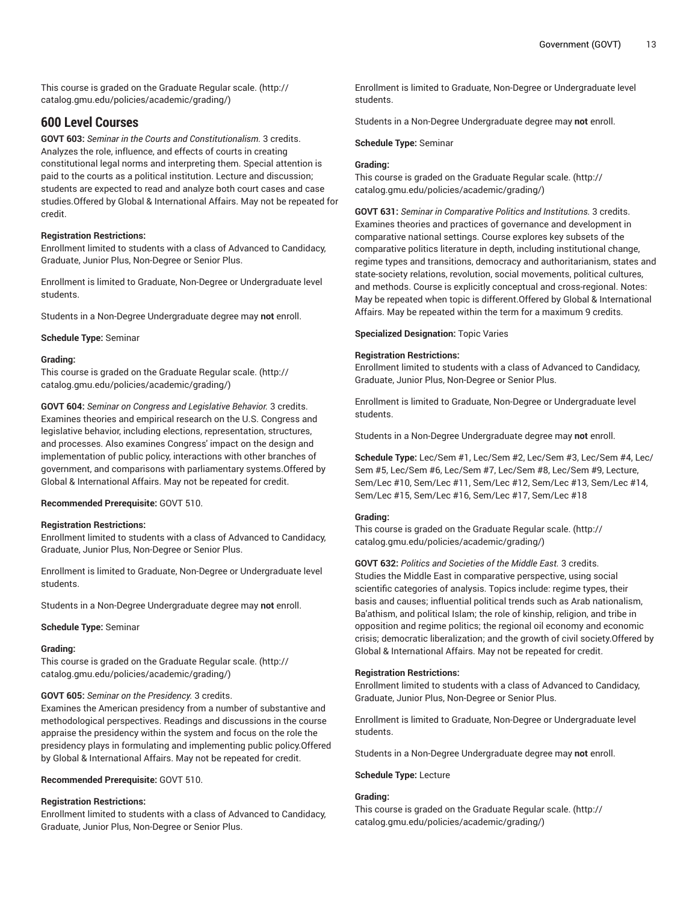This course is graded on the [Graduate Regular scale.](http://catalog.gmu.edu/policies/academic/grading/) [\(http://](http://catalog.gmu.edu/policies/academic/grading/) [catalog.gmu.edu/policies/academic/grading/\)](http://catalog.gmu.edu/policies/academic/grading/)

# **600 Level Courses**

**GOVT 603:** *Seminar in the Courts and Constitutionalism.* 3 credits. Analyzes the role, influence, and effects of courts in creating constitutional legal norms and interpreting them. Special attention is paid to the courts as a political institution. Lecture and discussion; students are expected to read and analyze both court cases and case studies.Offered by Global & International Affairs. May not be repeated for credit.

# **Registration Restrictions:**

Enrollment limited to students with a class of Advanced to Candidacy, Graduate, Junior Plus, Non-Degree or Senior Plus.

Enrollment is limited to Graduate, Non-Degree or Undergraduate level students.

Students in a Non-Degree Undergraduate degree may **not** enroll.

**Schedule Type:** Seminar

# **Grading:**

This course is graded on the [Graduate Regular scale.](http://catalog.gmu.edu/policies/academic/grading/) [\(http://](http://catalog.gmu.edu/policies/academic/grading/) [catalog.gmu.edu/policies/academic/grading/\)](http://catalog.gmu.edu/policies/academic/grading/)

**GOVT 604:** *Seminar on Congress and Legislative Behavior.* 3 credits. Examines theories and empirical research on the U.S. Congress and legislative behavior, including elections, representation, structures, and processes. Also examines Congress' impact on the design and implementation of public policy, interactions with other branches of government, and comparisons with parliamentary systems.Offered by Global & International Affairs. May not be repeated for credit.

# **Recommended Prerequisite:** GOVT 510.

# **Registration Restrictions:**

Enrollment limited to students with a class of Advanced to Candidacy, Graduate, Junior Plus, Non-Degree or Senior Plus.

Enrollment is limited to Graduate, Non-Degree or Undergraduate level students.

Students in a Non-Degree Undergraduate degree may **not** enroll.

**Schedule Type:** Seminar

# **Grading:**

This course is graded on the [Graduate Regular scale.](http://catalog.gmu.edu/policies/academic/grading/) [\(http://](http://catalog.gmu.edu/policies/academic/grading/) [catalog.gmu.edu/policies/academic/grading/\)](http://catalog.gmu.edu/policies/academic/grading/)

# **GOVT 605:** *Seminar on the Presidency.* 3 credits.

Examines the American presidency from a number of substantive and methodological perspectives. Readings and discussions in the course appraise the presidency within the system and focus on the role the presidency plays in formulating and implementing public policy.Offered by Global & International Affairs. May not be repeated for credit.

# **Recommended Prerequisite:** GOVT 510.

# **Registration Restrictions:**

Enrollment limited to students with a class of Advanced to Candidacy, Graduate, Junior Plus, Non-Degree or Senior Plus.

Enrollment is limited to Graduate, Non-Degree or Undergraduate level students.

Students in a Non-Degree Undergraduate degree may **not** enroll.

**Schedule Type:** Seminar

# **Grading:**

This course is graded on the [Graduate Regular scale.](http://catalog.gmu.edu/policies/academic/grading/) ([http://](http://catalog.gmu.edu/policies/academic/grading/) [catalog.gmu.edu/policies/academic/grading/](http://catalog.gmu.edu/policies/academic/grading/))

**GOVT 631:** *Seminar in Comparative Politics and Institutions.* 3 credits. Examines theories and practices of governance and development in comparative national settings. Course explores key subsets of the comparative politics literature in depth, including institutional change, regime types and transitions, democracy and authoritarianism, states and state-society relations, revolution, social movements, political cultures, and methods. Course is explicitly conceptual and cross-regional. Notes: May be repeated when topic is different.Offered by Global & International Affairs. May be repeated within the term for a maximum 9 credits.

**Specialized Designation:** Topic Varies

# **Registration Restrictions:**

Enrollment limited to students with a class of Advanced to Candidacy, Graduate, Junior Plus, Non-Degree or Senior Plus.

Enrollment is limited to Graduate, Non-Degree or Undergraduate level students.

Students in a Non-Degree Undergraduate degree may **not** enroll.

**Schedule Type:** Lec/Sem #1, Lec/Sem #2, Lec/Sem #3, Lec/Sem #4, Lec/ Sem #5, Lec/Sem #6, Lec/Sem #7, Lec/Sem #8, Lec/Sem #9, Lecture, Sem/Lec #10, Sem/Lec #11, Sem/Lec #12, Sem/Lec #13, Sem/Lec #14, Sem/Lec #15, Sem/Lec #16, Sem/Lec #17, Sem/Lec #18

# **Grading:**

This course is graded on the [Graduate Regular scale.](http://catalog.gmu.edu/policies/academic/grading/) ([http://](http://catalog.gmu.edu/policies/academic/grading/) [catalog.gmu.edu/policies/academic/grading/](http://catalog.gmu.edu/policies/academic/grading/))

**GOVT 632:** *Politics and Societies of the Middle East.* 3 credits. Studies the Middle East in comparative perspective, using social scientific categories of analysis. Topics include: regime types, their basis and causes; influential political trends such as Arab nationalism, Ba'athism, and political Islam; the role of kinship, religion, and tribe in opposition and regime politics; the regional oil economy and economic crisis; democratic liberalization; and the growth of civil society.Offered by Global & International Affairs. May not be repeated for credit.

# **Registration Restrictions:**

Enrollment limited to students with a class of Advanced to Candidacy, Graduate, Junior Plus, Non-Degree or Senior Plus.

Enrollment is limited to Graduate, Non-Degree or Undergraduate level students.

Students in a Non-Degree Undergraduate degree may **not** enroll.

# **Schedule Type:** Lecture

# **Grading:**

This course is graded on the [Graduate Regular scale.](http://catalog.gmu.edu/policies/academic/grading/) ([http://](http://catalog.gmu.edu/policies/academic/grading/) [catalog.gmu.edu/policies/academic/grading/](http://catalog.gmu.edu/policies/academic/grading/))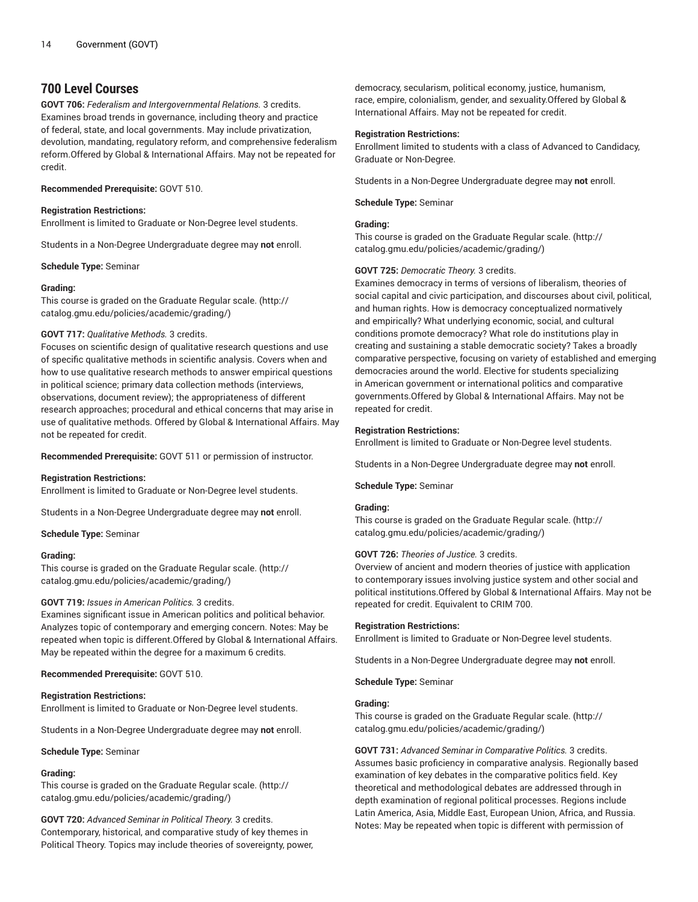# **700 Level Courses**

**GOVT 706:** *Federalism and Intergovernmental Relations.* 3 credits. Examines broad trends in governance, including theory and practice of federal, state, and local governments. May include privatization, devolution, mandating, regulatory reform, and comprehensive federalism reform.Offered by Global & International Affairs. May not be repeated for credit.

# **Recommended Prerequisite:** GOVT 510.

# **Registration Restrictions:**

Enrollment is limited to Graduate or Non-Degree level students.

Students in a Non-Degree Undergraduate degree may **not** enroll.

**Schedule Type:** Seminar

# **Grading:**

This course is graded on the [Graduate Regular scale.](http://catalog.gmu.edu/policies/academic/grading/) [\(http://](http://catalog.gmu.edu/policies/academic/grading/) [catalog.gmu.edu/policies/academic/grading/\)](http://catalog.gmu.edu/policies/academic/grading/)

# **GOVT 717:** *Qualitative Methods.* 3 credits.

Focuses on scientific design of qualitative research questions and use of specific qualitative methods in scientific analysis. Covers when and how to use qualitative research methods to answer empirical questions in political science; primary data collection methods (interviews, observations, document review); the appropriateness of different research approaches; procedural and ethical concerns that may arise in use of qualitative methods. Offered by Global & International Affairs. May not be repeated for credit.

**Recommended Prerequisite:** GOVT 511 or permission of instructor.

# **Registration Restrictions:**

Enrollment is limited to Graduate or Non-Degree level students.

Students in a Non-Degree Undergraduate degree may **not** enroll.

**Schedule Type:** Seminar

# **Grading:**

This course is graded on the [Graduate Regular scale.](http://catalog.gmu.edu/policies/academic/grading/) [\(http://](http://catalog.gmu.edu/policies/academic/grading/) [catalog.gmu.edu/policies/academic/grading/\)](http://catalog.gmu.edu/policies/academic/grading/)

# **GOVT 719:** *Issues in American Politics.* 3 credits.

Examines significant issue in American politics and political behavior. Analyzes topic of contemporary and emerging concern. Notes: May be repeated when topic is different.Offered by Global & International Affairs. May be repeated within the degree for a maximum 6 credits.

# **Recommended Prerequisite:** GOVT 510.

# **Registration Restrictions:**

Enrollment is limited to Graduate or Non-Degree level students.

Students in a Non-Degree Undergraduate degree may **not** enroll.

# **Schedule Type:** Seminar

# **Grading:**

This course is graded on the [Graduate Regular scale.](http://catalog.gmu.edu/policies/academic/grading/) [\(http://](http://catalog.gmu.edu/policies/academic/grading/) [catalog.gmu.edu/policies/academic/grading/\)](http://catalog.gmu.edu/policies/academic/grading/)

**GOVT 720:** *Advanced Seminar in Political Theory.* 3 credits. Contemporary, historical, and comparative study of key themes in Political Theory. Topics may include theories of sovereignty, power,

democracy, secularism, political economy, justice, humanism, race, empire, colonialism, gender, and sexuality.Offered by Global & International Affairs. May not be repeated for credit.

# **Registration Restrictions:**

Enrollment limited to students with a class of Advanced to Candidacy, Graduate or Non-Degree.

Students in a Non-Degree Undergraduate degree may **not** enroll.

**Schedule Type:** Seminar

# **Grading:**

This course is graded on the [Graduate Regular scale.](http://catalog.gmu.edu/policies/academic/grading/) ([http://](http://catalog.gmu.edu/policies/academic/grading/) [catalog.gmu.edu/policies/academic/grading/](http://catalog.gmu.edu/policies/academic/grading/))

# **GOVT 725:** *Democratic Theory.* 3 credits.

Examines democracy in terms of versions of liberalism, theories of social capital and civic participation, and discourses about civil, political, and human rights. How is democracy conceptualized normatively and empirically? What underlying economic, social, and cultural conditions promote democracy? What role do institutions play in creating and sustaining a stable democratic society? Takes a broadly comparative perspective, focusing on variety of established and emerging democracies around the world. Elective for students specializing in American government or international politics and comparative governments.Offered by Global & International Affairs. May not be repeated for credit.

# **Registration Restrictions:**

Enrollment is limited to Graduate or Non-Degree level students.

Students in a Non-Degree Undergraduate degree may **not** enroll.

**Schedule Type:** Seminar

# **Grading:**

This course is graded on the [Graduate Regular scale.](http://catalog.gmu.edu/policies/academic/grading/) ([http://](http://catalog.gmu.edu/policies/academic/grading/) [catalog.gmu.edu/policies/academic/grading/](http://catalog.gmu.edu/policies/academic/grading/))

# **GOVT 726:** *Theories of Justice.* 3 credits.

Overview of ancient and modern theories of justice with application to contemporary issues involving justice system and other social and political institutions.Offered by Global & International Affairs. May not be repeated for credit. Equivalent to CRIM 700.

# **Registration Restrictions:**

Enrollment is limited to Graduate or Non-Degree level students.

Students in a Non-Degree Undergraduate degree may **not** enroll.

**Schedule Type:** Seminar

# **Grading:**

This course is graded on the [Graduate Regular scale.](http://catalog.gmu.edu/policies/academic/grading/) ([http://](http://catalog.gmu.edu/policies/academic/grading/) [catalog.gmu.edu/policies/academic/grading/](http://catalog.gmu.edu/policies/academic/grading/))

**GOVT 731:** *Advanced Seminar in Comparative Politics.* 3 credits. Assumes basic proficiency in comparative analysis. Regionally based examination of key debates in the comparative politics field. Key theoretical and methodological debates are addressed through in depth examination of regional political processes. Regions include Latin America, Asia, Middle East, European Union, Africa, and Russia. Notes: May be repeated when topic is different with permission of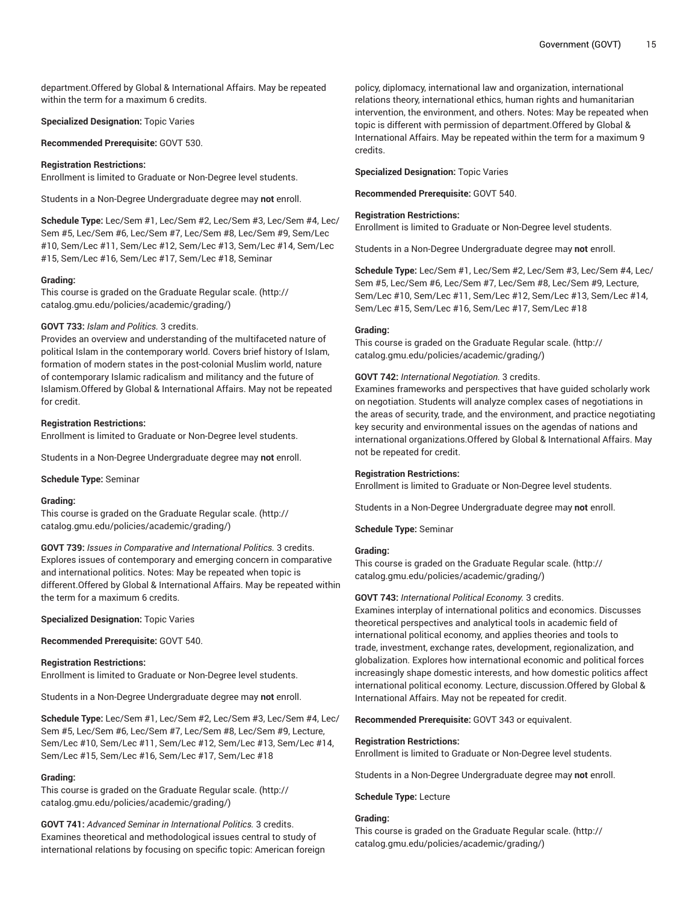department.Offered by Global & International Affairs. May be repeated within the term for a maximum 6 credits.

**Specialized Designation:** Topic Varies

**Recommended Prerequisite:** GOVT 530.

#### **Registration Restrictions:**

Enrollment is limited to Graduate or Non-Degree level students.

Students in a Non-Degree Undergraduate degree may **not** enroll.

**Schedule Type:** Lec/Sem #1, Lec/Sem #2, Lec/Sem #3, Lec/Sem #4, Lec/ Sem #5, Lec/Sem #6, Lec/Sem #7, Lec/Sem #8, Lec/Sem #9, Sem/Lec #10, Sem/Lec #11, Sem/Lec #12, Sem/Lec #13, Sem/Lec #14, Sem/Lec #15, Sem/Lec #16, Sem/Lec #17, Sem/Lec #18, Seminar

#### **Grading:**

This course is graded on the [Graduate Regular scale.](http://catalog.gmu.edu/policies/academic/grading/) [\(http://](http://catalog.gmu.edu/policies/academic/grading/) [catalog.gmu.edu/policies/academic/grading/\)](http://catalog.gmu.edu/policies/academic/grading/)

# **GOVT 733:** *Islam and Politics.* 3 credits.

Provides an overview and understanding of the multifaceted nature of political Islam in the contemporary world. Covers brief history of Islam, formation of modern states in the post-colonial Muslim world, nature of contemporary Islamic radicalism and militancy and the future of Islamism.Offered by Global & International Affairs. May not be repeated for credit.

#### **Registration Restrictions:**

Enrollment is limited to Graduate or Non-Degree level students.

Students in a Non-Degree Undergraduate degree may **not** enroll.

**Schedule Type:** Seminar

#### **Grading:**

This course is graded on the [Graduate Regular scale.](http://catalog.gmu.edu/policies/academic/grading/) [\(http://](http://catalog.gmu.edu/policies/academic/grading/) [catalog.gmu.edu/policies/academic/grading/\)](http://catalog.gmu.edu/policies/academic/grading/)

**GOVT 739:** *Issues in Comparative and International Politics.* 3 credits. Explores issues of contemporary and emerging concern in comparative and international politics. Notes: May be repeated when topic is different.Offered by Global & International Affairs. May be repeated within the term for a maximum 6 credits.

**Specialized Designation:** Topic Varies

**Recommended Prerequisite:** GOVT 540.

#### **Registration Restrictions:**

Enrollment is limited to Graduate or Non-Degree level students.

Students in a Non-Degree Undergraduate degree may **not** enroll.

**Schedule Type:** Lec/Sem #1, Lec/Sem #2, Lec/Sem #3, Lec/Sem #4, Lec/ Sem #5, Lec/Sem #6, Lec/Sem #7, Lec/Sem #8, Lec/Sem #9, Lecture, Sem/Lec #10, Sem/Lec #11, Sem/Lec #12, Sem/Lec #13, Sem/Lec #14, Sem/Lec #15, Sem/Lec #16, Sem/Lec #17, Sem/Lec #18

# **Grading:**

This course is graded on the [Graduate Regular scale.](http://catalog.gmu.edu/policies/academic/grading/) [\(http://](http://catalog.gmu.edu/policies/academic/grading/) [catalog.gmu.edu/policies/academic/grading/\)](http://catalog.gmu.edu/policies/academic/grading/)

**GOVT 741:** *Advanced Seminar in International Politics.* 3 credits. Examines theoretical and methodological issues central to study of international relations by focusing on specific topic: American foreign

policy, diplomacy, international law and organization, international relations theory, international ethics, human rights and humanitarian intervention, the environment, and others. Notes: May be repeated when topic is different with permission of department.Offered by Global & International Affairs. May be repeated within the term for a maximum 9 credits.

**Specialized Designation:** Topic Varies

**Recommended Prerequisite:** GOVT 540.

#### **Registration Restrictions:**

Enrollment is limited to Graduate or Non-Degree level students.

Students in a Non-Degree Undergraduate degree may **not** enroll.

**Schedule Type:** Lec/Sem #1, Lec/Sem #2, Lec/Sem #3, Lec/Sem #4, Lec/ Sem #5, Lec/Sem #6, Lec/Sem #7, Lec/Sem #8, Lec/Sem #9, Lecture, Sem/Lec #10, Sem/Lec #11, Sem/Lec #12, Sem/Lec #13, Sem/Lec #14, Sem/Lec #15, Sem/Lec #16, Sem/Lec #17, Sem/Lec #18

# **Grading:**

This course is graded on the [Graduate Regular scale.](http://catalog.gmu.edu/policies/academic/grading/) ([http://](http://catalog.gmu.edu/policies/academic/grading/) [catalog.gmu.edu/policies/academic/grading/](http://catalog.gmu.edu/policies/academic/grading/))

#### **GOVT 742:** *International Negotiation.* 3 credits.

Examines frameworks and perspectives that have guided scholarly work on negotiation. Students will analyze complex cases of negotiations in the areas of security, trade, and the environment, and practice negotiating key security and environmental issues on the agendas of nations and international organizations.Offered by Global & International Affairs. May not be repeated for credit.

#### **Registration Restrictions:**

Enrollment is limited to Graduate or Non-Degree level students.

Students in a Non-Degree Undergraduate degree may **not** enroll.

**Schedule Type:** Seminar

# **Grading:**

This course is graded on the [Graduate Regular scale.](http://catalog.gmu.edu/policies/academic/grading/) ([http://](http://catalog.gmu.edu/policies/academic/grading/) [catalog.gmu.edu/policies/academic/grading/](http://catalog.gmu.edu/policies/academic/grading/))

#### **GOVT 743:** *International Political Economy.* 3 credits.

Examines interplay of international politics and economics. Discusses theoretical perspectives and analytical tools in academic field of international political economy, and applies theories and tools to trade, investment, exchange rates, development, regionalization, and globalization. Explores how international economic and political forces increasingly shape domestic interests, and how domestic politics affect international political economy. Lecture, discussion.Offered by Global & International Affairs. May not be repeated for credit.

**Recommended Prerequisite:** GOVT 343 or equivalent.

#### **Registration Restrictions:**

Enrollment is limited to Graduate or Non-Degree level students.

Students in a Non-Degree Undergraduate degree may **not** enroll.

**Schedule Type:** Lecture

# **Grading:**

This course is graded on the [Graduate Regular scale.](http://catalog.gmu.edu/policies/academic/grading/) ([http://](http://catalog.gmu.edu/policies/academic/grading/) [catalog.gmu.edu/policies/academic/grading/](http://catalog.gmu.edu/policies/academic/grading/))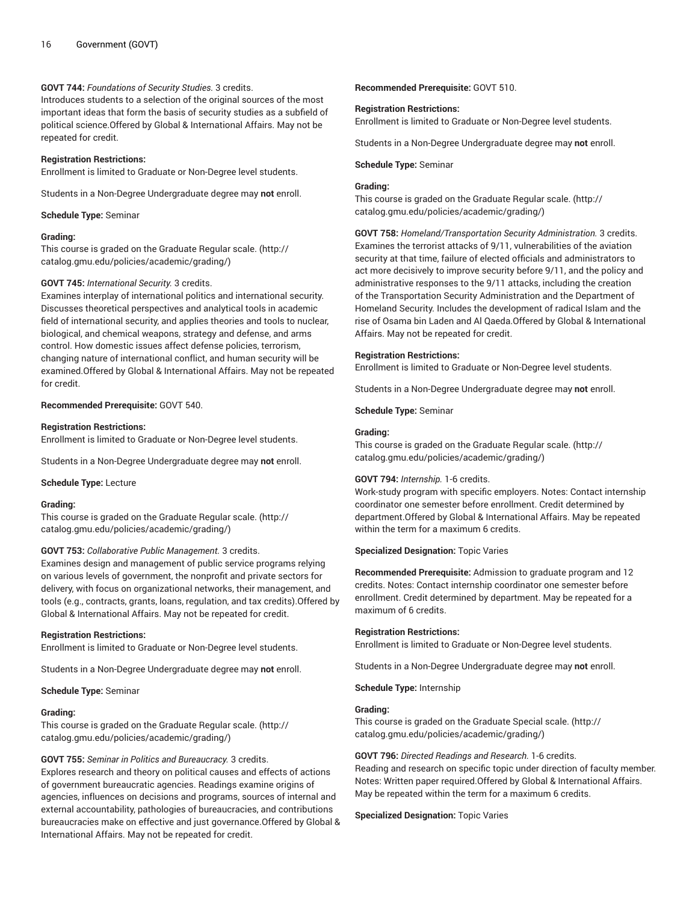# **GOVT 744:** *Foundations of Security Studies.* 3 credits.

Introduces students to a selection of the original sources of the most important ideas that form the basis of security studies as a subfield of political science.Offered by Global & International Affairs. May not be repeated for credit.

# **Registration Restrictions:**

Enrollment is limited to Graduate or Non-Degree level students.

Students in a Non-Degree Undergraduate degree may **not** enroll.

**Schedule Type:** Seminar

# **Grading:**

This course is graded on the [Graduate Regular scale.](http://catalog.gmu.edu/policies/academic/grading/) [\(http://](http://catalog.gmu.edu/policies/academic/grading/) [catalog.gmu.edu/policies/academic/grading/\)](http://catalog.gmu.edu/policies/academic/grading/)

# **GOVT 745:** *International Security.* 3 credits.

Examines interplay of international politics and international security. Discusses theoretical perspectives and analytical tools in academic field of international security, and applies theories and tools to nuclear, biological, and chemical weapons, strategy and defense, and arms control. How domestic issues affect defense policies, terrorism, changing nature of international conflict, and human security will be examined.Offered by Global & International Affairs. May not be repeated for credit.

#### **Recommended Prerequisite:** GOVT 540.

#### **Registration Restrictions:**

Enrollment is limited to Graduate or Non-Degree level students.

Students in a Non-Degree Undergraduate degree may **not** enroll.

**Schedule Type:** Lecture

#### **Grading:**

This course is graded on the [Graduate Regular scale.](http://catalog.gmu.edu/policies/academic/grading/) [\(http://](http://catalog.gmu.edu/policies/academic/grading/) [catalog.gmu.edu/policies/academic/grading/\)](http://catalog.gmu.edu/policies/academic/grading/)

# **GOVT 753:** *Collaborative Public Management.* 3 credits.

Examines design and management of public service programs relying on various levels of government, the nonprofit and private sectors for delivery, with focus on organizational networks, their management, and tools (e.g., contracts, grants, loans, regulation, and tax credits).Offered by Global & International Affairs. May not be repeated for credit.

#### **Registration Restrictions:**

Enrollment is limited to Graduate or Non-Degree level students.

Students in a Non-Degree Undergraduate degree may **not** enroll.

**Schedule Type:** Seminar

# **Grading:**

This course is graded on the [Graduate Regular scale.](http://catalog.gmu.edu/policies/academic/grading/) [\(http://](http://catalog.gmu.edu/policies/academic/grading/) [catalog.gmu.edu/policies/academic/grading/\)](http://catalog.gmu.edu/policies/academic/grading/)

# **GOVT 755:** *Seminar in Politics and Bureaucracy.* 3 credits.

Explores research and theory on political causes and effects of actions of government bureaucratic agencies. Readings examine origins of agencies, influences on decisions and programs, sources of internal and external accountability, pathologies of bureaucracies, and contributions bureaucracies make on effective and just governance.Offered by Global & International Affairs. May not be repeated for credit.

**Recommended Prerequisite:** GOVT 510.

#### **Registration Restrictions:**

Enrollment is limited to Graduate or Non-Degree level students.

Students in a Non-Degree Undergraduate degree may **not** enroll.

#### **Schedule Type:** Seminar

# **Grading:**

This course is graded on the [Graduate Regular scale.](http://catalog.gmu.edu/policies/academic/grading/) ([http://](http://catalog.gmu.edu/policies/academic/grading/) [catalog.gmu.edu/policies/academic/grading/](http://catalog.gmu.edu/policies/academic/grading/))

**GOVT 758:** *Homeland/Transportation Security Administration.* 3 credits. Examines the terrorist attacks of 9/11, vulnerabilities of the aviation security at that time, failure of elected officials and administrators to act more decisively to improve security before 9/11, and the policy and administrative responses to the 9/11 attacks, including the creation of the Transportation Security Administration and the Department of Homeland Security. Includes the development of radical Islam and the rise of Osama bin Laden and Al Qaeda.Offered by Global & International Affairs. May not be repeated for credit.

# **Registration Restrictions:**

Enrollment is limited to Graduate or Non-Degree level students.

Students in a Non-Degree Undergraduate degree may **not** enroll.

**Schedule Type:** Seminar

# **Grading:**

This course is graded on the [Graduate Regular scale.](http://catalog.gmu.edu/policies/academic/grading/) ([http://](http://catalog.gmu.edu/policies/academic/grading/) [catalog.gmu.edu/policies/academic/grading/](http://catalog.gmu.edu/policies/academic/grading/))

# **GOVT 794:** *Internship.* 1-6 credits.

Work-study program with specific employers. Notes: Contact internship coordinator one semester before enrollment. Credit determined by department.Offered by Global & International Affairs. May be repeated within the term for a maximum 6 credits.

#### **Specialized Designation:** Topic Varies

**Recommended Prerequisite:** Admission to graduate program and 12 credits. Notes: Contact internship coordinator one semester before enrollment. Credit determined by department. May be repeated for a maximum of 6 credits.

#### **Registration Restrictions:**

Enrollment is limited to Graduate or Non-Degree level students.

Students in a Non-Degree Undergraduate degree may **not** enroll.

**Schedule Type:** Internship

# **Grading:**

This course is graded on the [Graduate Special scale. \(http://](http://catalog.gmu.edu/policies/academic/grading/) [catalog.gmu.edu/policies/academic/grading/](http://catalog.gmu.edu/policies/academic/grading/))

# **GOVT 796:** *Directed Readings and Research.* 1-6 credits.

Reading and research on specific topic under direction of faculty member. Notes: Written paper required.Offered by Global & International Affairs. May be repeated within the term for a maximum 6 credits.

# **Specialized Designation:** Topic Varies